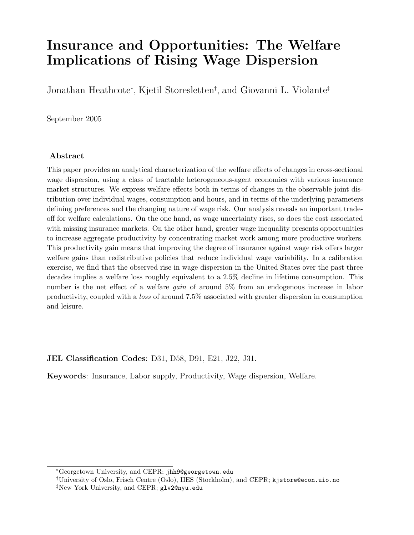# Insurance and Opportunities: The Welfare Implications of Rising Wage Dispersion

Jonathan Heathcote<sup>∗</sup> , Kjetil Storesletten† , and Giovanni L. Violante‡

September 2005

#### Abstract

This paper provides an analytical characterization of the welfare effects of changes in cross-sectional wage dispersion, using a class of tractable heterogeneous-agent economies with various insurance market structures. We express welfare effects both in terms of changes in the observable joint distribution over individual wages, consumption and hours, and in terms of the underlying parameters defining preferences and the changing nature of wage risk. Our analysis reveals an important tradeoff for welfare calculations. On the one hand, as wage uncertainty rises, so does the cost associated with missing insurance markets. On the other hand, greater wage inequality presents opportunities to increase aggregate productivity by concentrating market work among more productive workers. This productivity gain means that improving the degree of insurance against wage risk offers larger welfare gains than redistributive policies that reduce individual wage variability. In a calibration exercise, we find that the observed rise in wage dispersion in the United States over the past three decades implies a welfare loss roughly equivalent to a 2.5% decline in lifetime consumption. This number is the net effect of a welfare *gain* of around 5% from an endogenous increase in labor productivity, coupled with a loss of around 7.5% associated with greater dispersion in consumption and leisure.

#### JEL Classification Codes: D31, D58, D91, E21, J22, J31.

Keywords: Insurance, Labor supply, Productivity, Wage dispersion, Welfare.

<sup>∗</sup>Georgetown University, and CEPR; jhh9@georgetown.edu

<sup>†</sup>University of Oslo, Frisch Centre (Oslo), IIES (Stockholm), and CEPR; kjstore@econ.uio.no

<sup>‡</sup>New York University, and CEPR; glv2@nyu.edu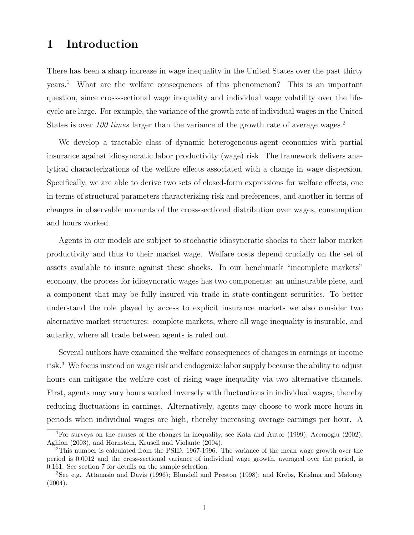# 1 Introduction

There has been a sharp increase in wage inequality in the United States over the past thirty years.<sup>1</sup> What are the welfare consequences of this phenomenon? This is an important question, since cross-sectional wage inequality and individual wage volatility over the lifecycle are large. For example, the variance of the growth rate of individual wages in the United States is over  $100 \,$  times larger than the variance of the growth rate of average wages.<sup>2</sup>

We develop a tractable class of dynamic heterogeneous-agent economies with partial insurance against idiosyncratic labor productivity (wage) risk. The framework delivers analytical characterizations of the welfare effects associated with a change in wage dispersion. Specifically, we are able to derive two sets of closed-form expressions for welfare effects, one in terms of structural parameters characterizing risk and preferences, and another in terms of changes in observable moments of the cross-sectional distribution over wages, consumption and hours worked.

Agents in our models are subject to stochastic idiosyncratic shocks to their labor market productivity and thus to their market wage. Welfare costs depend crucially on the set of assets available to insure against these shocks. In our benchmark "incomplete markets" economy, the process for idiosyncratic wages has two components: an uninsurable piece, and a component that may be fully insured via trade in state-contingent securities. To better understand the role played by access to explicit insurance markets we also consider two alternative market structures: complete markets, where all wage inequality is insurable, and autarky, where all trade between agents is ruled out.

Several authors have examined the welfare consequences of changes in earnings or income risk.<sup>3</sup> We focus instead on wage risk and endogenize labor supply because the ability to adjust hours can mitigate the welfare cost of rising wage inequality via two alternative channels. First, agents may vary hours worked inversely with fluctuations in individual wages, thereby reducing fluctuations in earnings. Alternatively, agents may choose to work more hours in periods when individual wages are high, thereby increasing average earnings per hour. A

<sup>1</sup>For surveys on the causes of the changes in inequality, see Katz and Autor (1999), Acemoglu (2002), Aghion (2003), and Hornstein, Krusell and Violante (2004).

<sup>2</sup>This number is calculated from the PSID, 1967-1996. The variance of the mean wage growth over the period is 0.0012 and the cross-sectional variance of individual wage growth, averaged over the period, is 0.161. See section 7 for details on the sample selection.

<sup>3</sup>See e.g. Attanasio and Davis (1996); Blundell and Preston (1998); and Krebs, Krishna and Maloney (2004).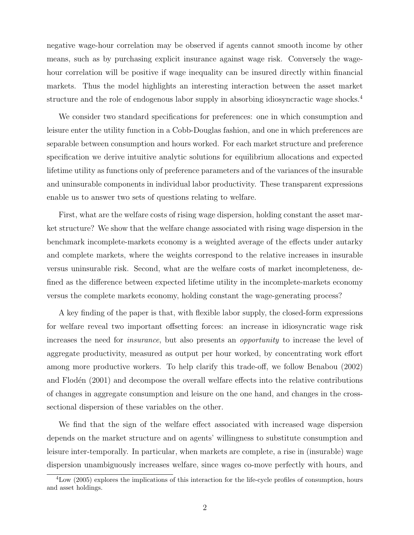negative wage-hour correlation may be observed if agents cannot smooth income by other means, such as by purchasing explicit insurance against wage risk. Conversely the wagehour correlation will be positive if wage inequality can be insured directly within financial markets. Thus the model highlights an interesting interaction between the asset market structure and the role of endogenous labor supply in absorbing idiosyncractic wage shocks.<sup>4</sup>

We consider two standard specifications for preferences: one in which consumption and leisure enter the utility function in a Cobb-Douglas fashion, and one in which preferences are separable between consumption and hours worked. For each market structure and preference specification we derive intuitive analytic solutions for equilibrium allocations and expected lifetime utility as functions only of preference parameters and of the variances of the insurable and uninsurable components in individual labor productivity. These transparent expressions enable us to answer two sets of questions relating to welfare.

First, what are the welfare costs of rising wage dispersion, holding constant the asset market structure? We show that the welfare change associated with rising wage dispersion in the benchmark incomplete-markets economy is a weighted average of the effects under autarky and complete markets, where the weights correspond to the relative increases in insurable versus uninsurable risk. Second, what are the welfare costs of market incompleteness, defined as the difference between expected lifetime utility in the incomplete-markets economy versus the complete markets economy, holding constant the wage-generating process?

A key finding of the paper is that, with flexible labor supply, the closed-form expressions for welfare reveal two important offsetting forces: an increase in idiosyncratic wage risk increases the need for insurance, but also presents an opportunity to increase the level of aggregate productivity, measured as output per hour worked, by concentrating work effort among more productive workers. To help clarify this trade-off, we follow Benabou (2002) and Flodén (2001) and decompose the overall welfare effects into the relative contributions of changes in aggregate consumption and leisure on the one hand, and changes in the crosssectional dispersion of these variables on the other.

We find that the sign of the welfare effect associated with increased wage dispersion depends on the market structure and on agents' willingness to substitute consumption and leisure inter-temporally. In particular, when markets are complete, a rise in (insurable) wage dispersion unambiguously increases welfare, since wages co-move perfectly with hours, and

<sup>4</sup>Low (2005) explores the implications of this interaction for the life-cycle profiles of consumption, hours and asset holdings.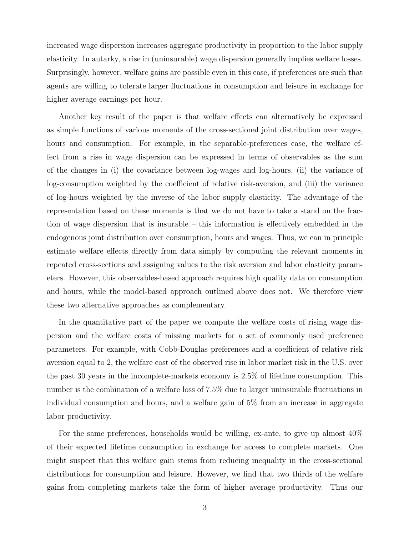increased wage dispersion increases aggregate productivity in proportion to the labor supply elasticity. In autarky, a rise in (uninsurable) wage dispersion generally implies welfare losses. Surprisingly, however, welfare gains are possible even in this case, if preferences are such that agents are willing to tolerate larger fluctuations in consumption and leisure in exchange for higher average earnings per hour.

Another key result of the paper is that welfare effects can alternatively be expressed as simple functions of various moments of the cross-sectional joint distribution over wages, hours and consumption. For example, in the separable-preferences case, the welfare effect from a rise in wage dispersion can be expressed in terms of observables as the sum of the changes in (i) the covariance between log-wages and log-hours, (ii) the variance of log-consumption weighted by the coefficient of relative risk-aversion, and (iii) the variance of log-hours weighted by the inverse of the labor supply elasticity. The advantage of the representation based on these moments is that we do not have to take a stand on the fraction of wage dispersion that is insurable – this information is effectively embedded in the endogenous joint distribution over consumption, hours and wages. Thus, we can in principle estimate welfare effects directly from data simply by computing the relevant moments in repeated cross-sections and assigning values to the risk aversion and labor elasticity parameters. However, this observables-based approach requires high quality data on consumption and hours, while the model-based approach outlined above does not. We therefore view these two alternative approaches as complementary.

In the quantitative part of the paper we compute the welfare costs of rising wage dispersion and the welfare costs of missing markets for a set of commonly used preference parameters. For example, with Cobb-Douglas preferences and a coefficient of relative risk aversion equal to 2, the welfare cost of the observed rise in labor market risk in the U.S. over the past 30 years in the incomplete-markets economy is 2.5% of lifetime consumption. This number is the combination of a welfare loss of 7.5% due to larger uninsurable fluctuations in individual consumption and hours, and a welfare gain of 5% from an increase in aggregate labor productivity.

For the same preferences, households would be willing, ex-ante, to give up almost 40% of their expected lifetime consumption in exchange for access to complete markets. One might suspect that this welfare gain stems from reducing inequality in the cross-sectional distributions for consumption and leisure. However, we find that two thirds of the welfare gains from completing markets take the form of higher average productivity. Thus our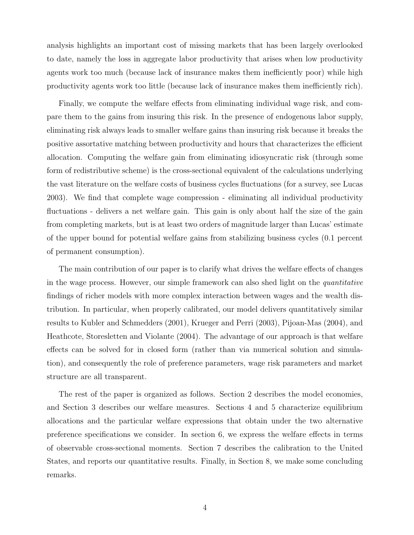analysis highlights an important cost of missing markets that has been largely overlooked to date, namely the loss in aggregate labor productivity that arises when low productivity agents work too much (because lack of insurance makes them inefficiently poor) while high productivity agents work too little (because lack of insurance makes them inefficiently rich).

Finally, we compute the welfare effects from eliminating individual wage risk, and compare them to the gains from insuring this risk. In the presence of endogenous labor supply, eliminating risk always leads to smaller welfare gains than insuring risk because it breaks the positive assortative matching between productivity and hours that characterizes the efficient allocation. Computing the welfare gain from eliminating idiosyncratic risk (through some form of redistributive scheme) is the cross-sectional equivalent of the calculations underlying the vast literature on the welfare costs of business cycles fluctuations (for a survey, see Lucas 2003). We find that complete wage compression - eliminating all individual productivity fluctuations - delivers a net welfare gain. This gain is only about half the size of the gain from completing markets, but is at least two orders of magnitude larger than Lucas' estimate of the upper bound for potential welfare gains from stabilizing business cycles (0.1 percent of permanent consumption).

The main contribution of our paper is to clarify what drives the welfare effects of changes in the wage process. However, our simple framework can also shed light on the quantitative findings of richer models with more complex interaction between wages and the wealth distribution. In particular, when properly calibrated, our model delivers quantitatively similar results to Kubler and Schmedders (2001), Krueger and Perri (2003), Pijoan-Mas (2004), and Heathcote, Storesletten and Violante (2004). The advantage of our approach is that welfare effects can be solved for in closed form (rather than via numerical solution and simulation), and consequently the role of preference parameters, wage risk parameters and market structure are all transparent.

The rest of the paper is organized as follows. Section 2 describes the model economies, and Section 3 describes our welfare measures. Sections 4 and 5 characterize equilibrium allocations and the particular welfare expressions that obtain under the two alternative preference specifications we consider. In section 6, we express the welfare effects in terms of observable cross-sectional moments. Section 7 describes the calibration to the United States, and reports our quantitative results. Finally, in Section 8, we make some concluding remarks.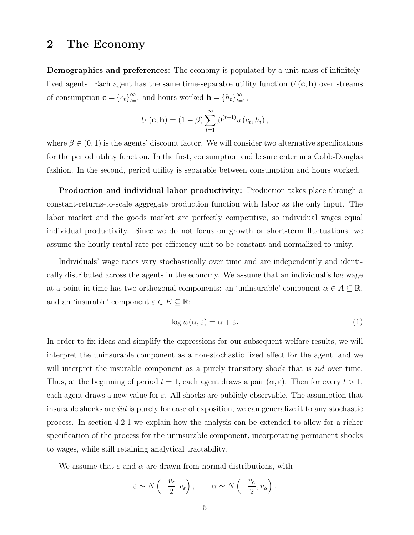### 2 The Economy

Demographics and preferences: The economy is populated by a unit mass of infinitelylived agents. Each agent has the same time-separable utility function  $U(\mathbf{c}, \mathbf{h})$  over streams of consumption  $\mathbf{c} = \{c_t\}_{t=1}^{\infty}$  and hours worked  $\mathbf{h} = \{h_t\}_{t=1}^{\infty}$ ,

$$
U(\mathbf{c}, \mathbf{h}) = (1 - \beta) \sum_{t=1}^{\infty} \beta^{(t-1)} u(c_t, h_t),
$$

where  $\beta \in (0, 1)$  is the agents' discount factor. We will consider two alternative specifications for the period utility function. In the first, consumption and leisure enter in a Cobb-Douglas fashion. In the second, period utility is separable between consumption and hours worked.

Production and individual labor productivity: Production takes place through a constant-returns-to-scale aggregate production function with labor as the only input. The labor market and the goods market are perfectly competitive, so individual wages equal individual productivity. Since we do not focus on growth or short-term fluctuations, we assume the hourly rental rate per efficiency unit to be constant and normalized to unity.

Individuals' wage rates vary stochastically over time and are independently and identically distributed across the agents in the economy. We assume that an individual's log wage at a point in time has two orthogonal components: an 'uninsurable' component  $\alpha \in A \subseteq \mathbb{R}$ , and an 'insurable' component  $\varepsilon \in E \subseteq \mathbb{R}$ :

$$
\log w(\alpha, \varepsilon) = \alpha + \varepsilon. \tag{1}
$$

In order to fix ideas and simplify the expressions for our subsequent welfare results, we will interpret the uninsurable component as a non-stochastic fixed effect for the agent, and we will interpret the insurable component as a purely transitory shock that is *iid* over time. Thus, at the beginning of period  $t = 1$ , each agent draws a pair  $(\alpha, \varepsilon)$ . Then for every  $t > 1$ , each agent draws a new value for  $\varepsilon$ . All shocks are publicly observable. The assumption that insurable shocks are *iid* is purely for ease of exposition, we can generalize it to any stochastic process. In section 4.2.1 we explain how the analysis can be extended to allow for a richer specification of the process for the uninsurable component, incorporating permanent shocks to wages, while still retaining analytical tractability.

We assume that  $\varepsilon$  and  $\alpha$  are drawn from normal distributions, with

$$
\varepsilon \sim N\left(-\frac{v_{\varepsilon}}{2}, v_{\varepsilon}\right), \qquad \alpha \sim N\left(-\frac{v_{\alpha}}{2}, v_{\alpha}\right).
$$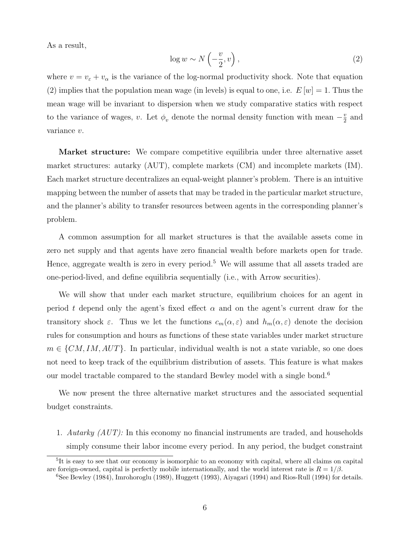As a result,

$$
\log w \sim N\left(-\frac{v}{2}, v\right),\tag{2}
$$

where  $v = v_{\varepsilon} + v_{\alpha}$  is the variance of the log-normal productivity shock. Note that equation (2) implies that the population mean wage (in levels) is equal to one, i.e.  $E[w] = 1$ . Thus the mean wage will be invariant to dispersion when we study comparative statics with respect to the variance of wages, v. Let  $\phi_v$  denote the normal density function with mean  $-\frac{v}{2}$  $\frac{v}{2}$  and variance v.

Market structure: We compare competitive equilibria under three alternative asset market structures: autarky (AUT), complete markets (CM) and incomplete markets (IM). Each market structure decentralizes an equal-weight planner's problem. There is an intuitive mapping between the number of assets that may be traded in the particular market structure, and the planner's ability to transfer resources between agents in the corresponding planner's problem.

A common assumption for all market structures is that the available assets come in zero net supply and that agents have zero financial wealth before markets open for trade. Hence, aggregate wealth is zero in every period.<sup>5</sup> We will assume that all assets traded are one-period-lived, and define equilibria sequentially (i.e., with Arrow securities).

We will show that under each market structure, equilibrium choices for an agent in period t depend only the agent's fixed effect  $\alpha$  and on the agent's current draw for the transitory shock  $\varepsilon$ . Thus we let the functions  $c_m(\alpha,\varepsilon)$  and  $h_m(\alpha,\varepsilon)$  denote the decision rules for consumption and hours as functions of these state variables under market structure  $m \in \{CM, IM, AUT\}$ . In particular, individual wealth is not a state variable, so one does not need to keep track of the equilibrium distribution of assets. This feature is what makes our model tractable compared to the standard Bewley model with a single bond.<sup>6</sup>

We now present the three alternative market structures and the associated sequential budget constraints.

1. Autarky  $(AUT)$ : In this economy no financial instruments are traded, and households simply consume their labor income every period. In any period, the budget constraint

<sup>&</sup>lt;sup>5</sup>It is easy to see that our economy is isomorphic to an economy with capital, where all claims on capital are foreign-owned, capital is perfectly mobile internationally, and the world interest rate is  $R = 1/\beta$ .

<sup>6</sup>See Bewley (1984), Imrohoroglu (1989), Huggett (1993), Aiyagari (1994) and Rios-Rull (1994) for details.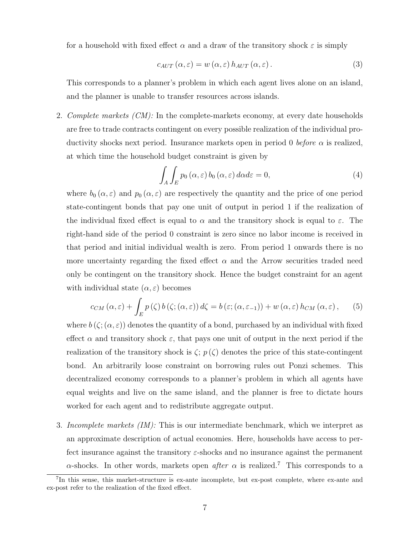for a household with fixed effect  $\alpha$  and a draw of the transitory shock  $\varepsilon$  is simply

$$
c_{AUT}(\alpha,\varepsilon) = w(\alpha,\varepsilon) h_{AUT}(\alpha,\varepsilon). \tag{3}
$$

This corresponds to a planner's problem in which each agent lives alone on an island, and the planner is unable to transfer resources across islands.

2. Complete markets  $(CM)$ : In the complete-markets economy, at every date households are free to trade contracts contingent on every possible realization of the individual productivity shocks next period. Insurance markets open in period 0 before  $\alpha$  is realized, at which time the household budget constraint is given by

$$
\int_{A} \int_{E} p_{0} \left( \alpha, \varepsilon \right) b_{0} \left( \alpha, \varepsilon \right) d\alpha d\varepsilon = 0, \tag{4}
$$

where  $b_0 (\alpha, \varepsilon)$  and  $p_0 (\alpha, \varepsilon)$  are respectively the quantity and the price of one period state-contingent bonds that pay one unit of output in period 1 if the realization of the individual fixed effect is equal to  $\alpha$  and the transitory shock is equal to  $\varepsilon$ . The right-hand side of the period 0 constraint is zero since no labor income is received in that period and initial individual wealth is zero. From period 1 onwards there is no more uncertainty regarding the fixed effect  $\alpha$  and the Arrow securities traded need only be contingent on the transitory shock. Hence the budget constraint for an agent with individual state  $(\alpha, \varepsilon)$  becomes

$$
c_{CM}(\alpha,\varepsilon) + \int_{E} p(\zeta) b(\zeta; (\alpha,\varepsilon)) d\zeta = b(\varepsilon; (\alpha,\varepsilon_{-1})) + w(\alpha,\varepsilon) h_{CM}(\alpha,\varepsilon), \qquad (5)
$$

where  $b(\zeta; (\alpha, \varepsilon))$  denotes the quantity of a bond, purchased by an individual with fixed effect  $\alpha$  and transitory shock  $\varepsilon$ , that pays one unit of output in the next period if the realization of the transitory shock is  $\zeta$ ;  $p(\zeta)$  denotes the price of this state-contingent bond. An arbitrarily loose constraint on borrowing rules out Ponzi schemes. This decentralized economy corresponds to a planner's problem in which all agents have equal weights and live on the same island, and the planner is free to dictate hours worked for each agent and to redistribute aggregate output.

3. Incomplete markets *(IM)*: This is our intermediate benchmark, which we interpret as an approximate description of actual economies. Here, households have access to perfect insurance against the transitory  $\varepsilon$ -shocks and no insurance against the permanent  $\alpha$ -shocks. In other words, markets open *after*  $\alpha$  is realized.<sup>7</sup> This corresponds to a

<sup>&</sup>lt;sup>7</sup>In this sense, this market-structure is ex-ante incomplete, but ex-post complete, where ex-ante and ex-post refer to the realization of the fixed effect.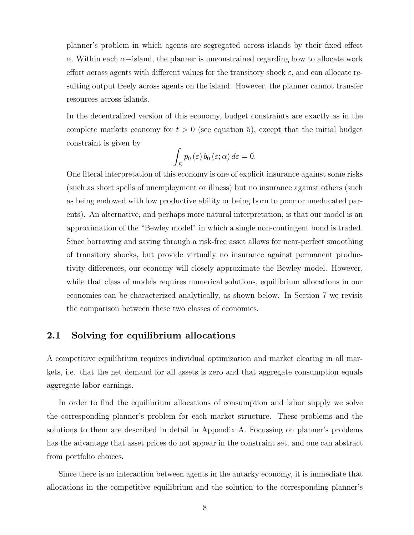planner's problem in which agents are segregated across islands by their fixed effect α. Within each α−island, the planner is unconstrained regarding how to allocate work effort across agents with different values for the transitory shock  $\varepsilon$ , and can allocate resulting output freely across agents on the island. However, the planner cannot transfer resources across islands.

In the decentralized version of this economy, budget constraints are exactly as in the complete markets economy for  $t > 0$  (see equation 5), except that the initial budget constraint is given by

$$
\int_{E} p_0(\varepsilon) b_0(\varepsilon; \alpha) d\varepsilon = 0.
$$

One literal interpretation of this economy is one of explicit insurance against some risks (such as short spells of unemployment or illness) but no insurance against others (such as being endowed with low productive ability or being born to poor or uneducated parents). An alternative, and perhaps more natural interpretation, is that our model is an approximation of the "Bewley model" in which a single non-contingent bond is traded. Since borrowing and saving through a risk-free asset allows for near-perfect smoothing of transitory shocks, but provide virtually no insurance against permanent productivity differences, our economy will closely approximate the Bewley model. However, while that class of models requires numerical solutions, equilibrium allocations in our economies can be characterized analytically, as shown below. In Section 7 we revisit the comparison between these two classes of economies.

### 2.1 Solving for equilibrium allocations

A competitive equilibrium requires individual optimization and market clearing in all markets, i.e. that the net demand for all assets is zero and that aggregate consumption equals aggregate labor earnings.

In order to find the equilibrium allocations of consumption and labor supply we solve the corresponding planner's problem for each market structure. These problems and the solutions to them are described in detail in Appendix A. Focussing on planner's problems has the advantage that asset prices do not appear in the constraint set, and one can abstract from portfolio choices.

Since there is no interaction between agents in the autarky economy, it is immediate that allocations in the competitive equilibrium and the solution to the corresponding planner's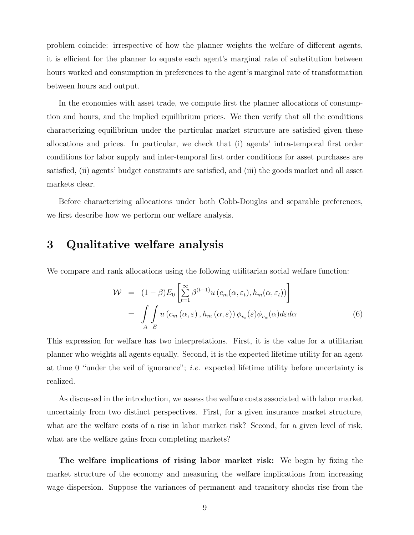problem coincide: irrespective of how the planner weights the welfare of different agents, it is efficient for the planner to equate each agent's marginal rate of substitution between hours worked and consumption in preferences to the agent's marginal rate of transformation between hours and output.

In the economies with asset trade, we compute first the planner allocations of consumption and hours, and the implied equilibrium prices. We then verify that all the conditions characterizing equilibrium under the particular market structure are satisfied given these allocations and prices. In particular, we check that (i) agents' intra-temporal first order conditions for labor supply and inter-temporal first order conditions for asset purchases are satisfied, (ii) agents' budget constraints are satisfied, and (iii) the goods market and all asset markets clear.

Before characterizing allocations under both Cobb-Douglas and separable preferences, we first describe how we perform our welfare analysis.

## 3 Qualitative welfare analysis

We compare and rank allocations using the following utilitarian social welfare function:

$$
\mathcal{W} = (1 - \beta) E_0 \left[ \sum_{t=1}^{\infty} \beta^{(t-1)} u \left( c_m(\alpha, \varepsilon_t), h_m(\alpha, \varepsilon_t) \right) \right]
$$

$$
= \int_A \int_B u \left( c_m(\alpha, \varepsilon), h_m(\alpha, \varepsilon) \right) \phi_{v_{\varepsilon}}(\varepsilon) \phi_{v_{\alpha}}(\alpha) d\varepsilon d\alpha \tag{6}
$$

This expression for welfare has two interpretations. First, it is the value for a utilitarian planner who weights all agents equally. Second, it is the expected lifetime utility for an agent at time 0 "under the veil of ignorance"; *i.e.* expected lifetime utility before uncertainty is realized.

As discussed in the introduction, we assess the welfare costs associated with labor market uncertainty from two distinct perspectives. First, for a given insurance market structure, what are the welfare costs of a rise in labor market risk? Second, for a given level of risk, what are the welfare gains from completing markets?

The welfare implications of rising labor market risk: We begin by fixing the market structure of the economy and measuring the welfare implications from increasing wage dispersion. Suppose the variances of permanent and transitory shocks rise from the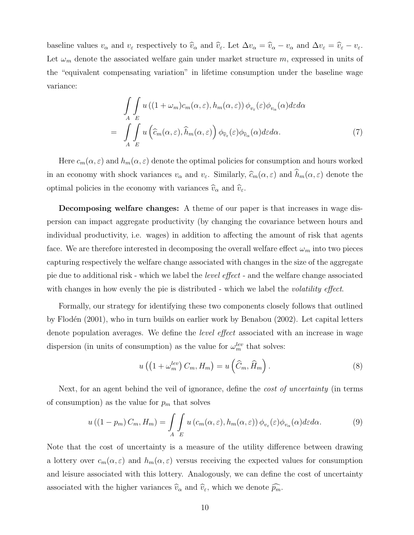baseline values  $v_{\alpha}$  and  $v_{\varepsilon}$  respectively to  $\hat{v}_{\alpha}$  and  $\hat{v}_{\varepsilon}$ . Let  $\Delta v_{\alpha} = \hat{v}_{\alpha} - v_{\alpha}$  and  $\Delta v_{\varepsilon} = \hat{v}_{\varepsilon} - v_{\varepsilon}$ . Let  $\omega_m$  denote the associated welfare gain under market structure m, expressed in units of the "equivalent compensating variation" in lifetime consumption under the baseline wage variance:

$$
\int_{A} \int_{E} u\left((1+\omega_{m})c_{m}(\alpha,\varepsilon), h_{m}(\alpha,\varepsilon)\right) \phi_{v_{\varepsilon}}(\varepsilon) \phi_{v_{\alpha}}(\alpha) d\varepsilon d\alpha \n= \int_{A} \int_{E} u\left(\widehat{c}_{m}(\alpha,\varepsilon), \widehat{h}_{m}(\alpha,\varepsilon)\right) \phi_{\widehat{v}_{\varepsilon}}(\varepsilon) \phi_{\widehat{v}_{\alpha}}(\alpha) d\varepsilon d\alpha.
$$
\n(7)

Here  $c_m(\alpha, \varepsilon)$  and  $h_m(\alpha, \varepsilon)$  denote the optimal policies for consumption and hours worked in an economy with shock variances  $v_{\alpha}$  and  $v_{\varepsilon}$ . Similarly,  $\widehat{c}_m(\alpha, \varepsilon)$  and  $\widehat{h}_m(\alpha, \varepsilon)$  denote the optimal policies in the economy with variances  $\widehat{v}_{\alpha}$  and  $\widehat{v}_{\varepsilon}$ .

Decomposing welfare changes: A theme of our paper is that increases in wage dispersion can impact aggregate productivity (by changing the covariance between hours and individual productivity, i.e. wages) in addition to affecting the amount of risk that agents face. We are therefore interested in decomposing the overall welfare effect  $\omega_m$  into two pieces capturing respectively the welfare change associated with changes in the size of the aggregate pie due to additional risk - which we label the level effect - and the welfare change associated with changes in how evenly the pie is distributed - which we label the *volatility effect*.

Formally, our strategy for identifying these two components closely follows that outlined by Flodén (2001), who in turn builds on earlier work by Benabou (2002). Let capital letters denote population averages. We define the *level effect* associated with an increase in wage dispersion (in units of consumption) as the value for  $\omega_m^{lev}$  that solves:

$$
u\left(\left(1+\omega_m^{lev}\right)C_m, H_m\right) = u\left(\widehat{C}_m, \widehat{H}_m\right). \tag{8}
$$

Next, for an agent behind the veil of ignorance, define the *cost of uncertainty* (in terms of consumption) as the value for  $p_m$  that solves

$$
u((1-p_m)C_m, H_m) = \int\limits_A \int\limits_E u(c_m(\alpha, \varepsilon), h_m(\alpha, \varepsilon)) \phi_{v_{\varepsilon}}(\varepsilon) \phi_{v_{\alpha}}(\alpha) d\varepsilon d\alpha.
$$
 (9)

Note that the cost of uncertainty is a measure of the utility difference between drawing a lottery over  $c_m(\alpha, \varepsilon)$  and  $h_m(\alpha, \varepsilon)$  versus receiving the expected values for consumption and leisure associated with this lottery. Analogously, we can define the cost of uncertainty associated with the higher variances  $\widehat{v}_{\alpha}$  and  $\widehat{v}_{\varepsilon}$ , which we denote  $\widehat{p_m}$ .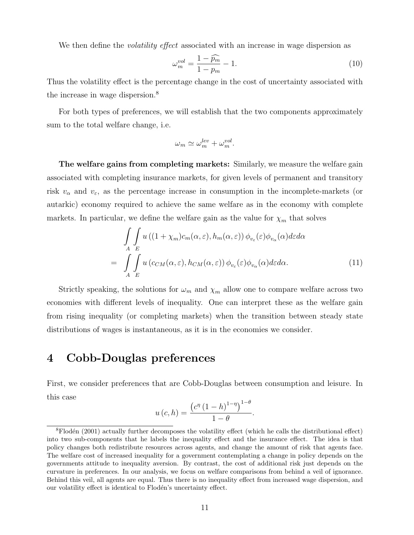We then define the *volatility effect* associated with an increase in wage dispersion as

$$
\omega_m^{vol} = \frac{1 - \widehat{p_m}}{1 - p_m} - 1. \tag{10}
$$

Thus the volatility effect is the percentage change in the cost of uncertainty associated with the increase in wage dispersion.<sup>8</sup>

For both types of preferences, we will establish that the two components approximately sum to the total welfare change, i.e.

$$
\omega_m \simeq \omega_m^{lev} + \omega_m^{vol}.
$$

The welfare gains from completing markets: Similarly, we measure the welfare gain associated with completing insurance markets, for given levels of permanent and transitory risk  $v_{\alpha}$  and  $v_{\varepsilon}$ , as the percentage increase in consumption in the incomplete-markets (or autarkic) economy required to achieve the same welfare as in the economy with complete markets. In particular, we define the welfare gain as the value for  $\chi_m$  that solves

$$
\int_{A} \int_{E} u((1+\chi_{m})c_{m}(\alpha,\varepsilon), h_{m}(\alpha,\varepsilon)) \phi_{v_{\varepsilon}}(\varepsilon) \phi_{v_{\alpha}}(\alpha) d\varepsilon d\alpha \n= \int_{A} \int_{E} u(c_{CM}(\alpha,\varepsilon), h_{CM}(\alpha,\varepsilon)) \phi_{v_{\varepsilon}}(\varepsilon) \phi_{v_{\alpha}}(\alpha) d\varepsilon d\alpha.
$$
\n(11)

Strictly speaking, the solutions for  $\omega_m$  and  $\chi_m$  allow one to compare welfare across two economies with different levels of inequality. One can interpret these as the welfare gain from rising inequality (or completing markets) when the transition between steady state distributions of wages is instantaneous, as it is in the economies we consider.

## 4 Cobb-Douglas preferences

First, we consider preferences that are Cobb-Douglas between consumption and leisure. In this case ¡

$$
u\left(c,h\right) = \frac{\left(c^{\eta}\left(1-h\right)^{1-\eta}\right)^{1-\theta}}{1-\theta}.
$$

 ${}^8$ Flodén (2001) actually further decomposes the volatility effect (which he calls the distributional effect) into two sub-components that he labels the inequality effect and the insurance effect. The idea is that policy changes both redistribute resources across agents, and change the amount of risk that agents face. The welfare cost of increased inequality for a government contemplating a change in policy depends on the governments attitude to inequality aversion. By contrast, the cost of additional risk just depends on the curvature in preferences. In our analysis, we focus on welfare comparisons from behind a veil of ignorance. Behind this veil, all agents are equal. Thus there is no inequality effect from increased wage dispersion, and our volatility effect is identical to Flodén's uncertainty effect.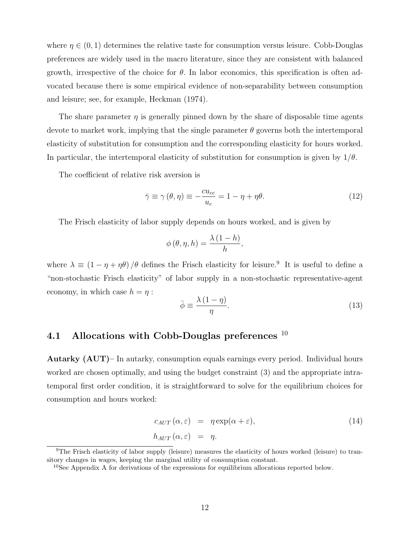where  $\eta \in (0, 1)$  determines the relative taste for consumption versus leisure. Cobb-Douglas preferences are widely used in the macro literature, since they are consistent with balanced growth, irrespective of the choice for  $\theta$ . In labor economics, this specification is often advocated because there is some empirical evidence of non-separability between consumption and leisure; see, for example, Heckman (1974).

The share parameter  $\eta$  is generally pinned down by the share of disposable time agents devote to market work, implying that the single parameter  $\theta$  governs both the intertemporal elasticity of substitution for consumption and the corresponding elasticity for hours worked. In particular, the intertemporal elasticity of substitution for consumption is given by  $1/\theta$ .

The coefficient of relative risk aversion is

$$
\bar{\gamma} \equiv \gamma (\theta, \eta) \equiv -\frac{cu_{cc}}{u_c} = 1 - \eta + \eta \theta. \tag{12}
$$

The Frisch elasticity of labor supply depends on hours worked, and is given by

$$
\phi(\theta, \eta, h) = \frac{\lambda(1-h)}{h},
$$

where  $\lambda \equiv (1 - \eta + \eta \theta) / \theta$  defines the Frisch elasticity for leisure.<sup>9</sup> It is useful to define a "non-stochastic Frisch elasticity" of labor supply in a non-stochastic representative-agent economy, in which case  $h = \eta$ :

$$
\bar{\phi} \equiv \frac{\lambda \left(1 - \eta\right)}{\eta}.\tag{13}
$$

### 4.1 Allocations with Cobb-Douglas preferences  $10$

Autarky (AUT)– In autarky, consumption equals earnings every period. Individual hours worked are chosen optimally, and using the budget constraint (3) and the appropriate intratemporal first order condition, it is straightforward to solve for the equilibrium choices for consumption and hours worked:

$$
c_{AUT}(\alpha,\varepsilon) = \eta \exp(\alpha + \varepsilon),
$$
  
\n
$$
h_{AUT}(\alpha,\varepsilon) = \eta.
$$
 (14)

<sup>9</sup>The Frisch elasticity of labor supply (leisure) measures the elasticity of hours worked (leisure) to transitory changes in wages, keeping the marginal utility of consumption constant.

 $10$ See Appendix A for derivations of the expressions for equilibrium allocations reported below.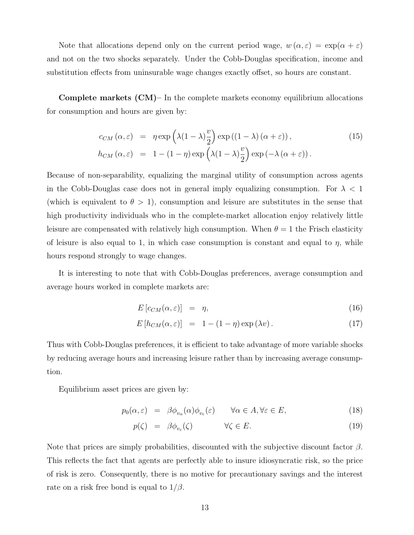Note that allocations depend only on the current period wage,  $w(\alpha, \varepsilon) = \exp(\alpha + \varepsilon)$ and not on the two shocks separately. Under the Cobb-Douglas specification, income and substitution effects from uninsurable wage changes exactly offset, so hours are constant.

Complete markets (CM)– In the complete markets economy equilibrium allocations for consumption and hours are given by:

$$
c_{CM}(\alpha,\varepsilon) = \eta \exp\left(\lambda(1-\lambda)\frac{v}{2}\right) \exp\left((1-\lambda)(\alpha+\varepsilon)\right),
$$
  
\n
$$
h_{CM}(\alpha,\varepsilon) = 1 - (1-\eta) \exp\left(\lambda(1-\lambda)\frac{v}{2}\right) \exp\left(-\lambda(\alpha+\varepsilon)\right).
$$
\n(15)

Because of non-separability, equalizing the marginal utility of consumption across agents in the Cobb-Douglas case does not in general imply equalizing consumption. For  $\lambda < 1$ (which is equivalent to  $\theta > 1$ ), consumption and leisure are substitutes in the sense that high productivity individuals who in the complete-market allocation enjoy relatively little leisure are compensated with relatively high consumption. When  $\theta = 1$  the Frisch elasticity of leisure is also equal to 1, in which case consumption is constant and equal to  $\eta$ , while hours respond strongly to wage changes.

It is interesting to note that with Cobb-Douglas preferences, average consumption and average hours worked in complete markets are:

$$
E\left[c_{CM}(\alpha,\varepsilon)\right] = \eta,\tag{16}
$$

$$
E[h_{CM}(\alpha,\varepsilon)] = 1 - (1-\eta)\exp(\lambda v). \qquad (17)
$$

Thus with Cobb-Douglas preferences, it is efficient to take advantage of more variable shocks by reducing average hours and increasing leisure rather than by increasing average consumption.

Equilibrium asset prices are given by:

$$
p_0(\alpha, \varepsilon) = \beta \phi_{v_\alpha}(\alpha) \phi_{v_\varepsilon}(\varepsilon) \qquad \forall \alpha \in A, \forall \varepsilon \in E,
$$
\n(18)

$$
p(\zeta) = \beta \phi_{v_{\varepsilon}}(\zeta) \qquad \forall \zeta \in E. \tag{19}
$$

Note that prices are simply probabilities, discounted with the subjective discount factor  $\beta$ . This reflects the fact that agents are perfectly able to insure idiosyncratic risk, so the price of risk is zero. Consequently, there is no motive for precautionary savings and the interest rate on a risk free bond is equal to  $1/\beta$ .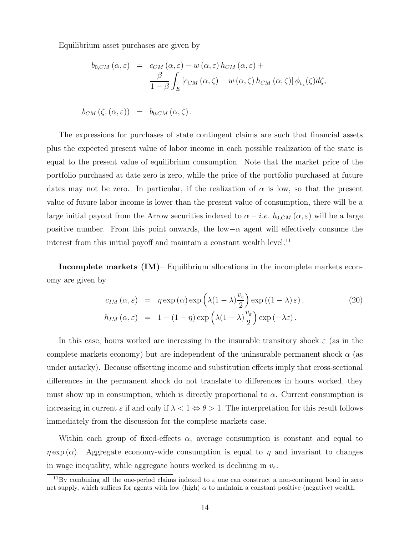Equilibrium asset purchases are given by

$$
b_{0,CM}(\alpha,\varepsilon) = c_{CM}(\alpha,\varepsilon) - w(\alpha,\varepsilon) h_{CM}(\alpha,\varepsilon) +
$$
  

$$
\frac{\beta}{1-\beta} \int_E \left[c_{CM}(\alpha,\zeta) - w(\alpha,\zeta) h_{CM}(\alpha,\zeta)\right] \phi_{v_{\varepsilon}}(\zeta) d\zeta,
$$

$$
b_{CM}(\zeta; (\alpha, \varepsilon)) = b_{0,CM}(\alpha, \zeta).
$$

The expressions for purchases of state contingent claims are such that financial assets plus the expected present value of labor income in each possible realization of the state is equal to the present value of equilibrium consumption. Note that the market price of the portfolio purchased at date zero is zero, while the price of the portfolio purchased at future dates may not be zero. In particular, if the realization of  $\alpha$  is low, so that the present value of future labor income is lower than the present value of consumption, there will be a large initial payout from the Arrow securities indexed to  $\alpha - i.e.$   $b_{0,CM}(\alpha,\varepsilon)$  will be a large positive number. From this point onwards, the low $-\alpha$  agent will effectively consume the interest from this initial payoff and maintain a constant wealth level.<sup>11</sup>

Incomplete markets (IM)– Equilibrium allocations in the incomplete markets economy are given by

$$
c_{IM}(\alpha,\varepsilon) = \eta \exp(\alpha) \exp\left(\lambda(1-\lambda)\frac{v_{\varepsilon}}{2}\right) \exp((1-\lambda)\varepsilon),
$$
  
\n
$$
h_{IM}(\alpha,\varepsilon) = 1 - (1-\eta) \exp\left(\lambda(1-\lambda)\frac{v_{\varepsilon}}{2}\right) \exp(-\lambda\varepsilon).
$$
\n(20)

In this case, hours worked are increasing in the insurable transitory shock  $\varepsilon$  (as in the complete markets economy) but are independent of the uninsurable permanent shock  $\alpha$  (as under autarky). Because offsetting income and substitution effects imply that cross-sectional differences in the permanent shock do not translate to differences in hours worked, they must show up in consumption, which is directly proportional to  $\alpha$ . Current consumption is increasing in current  $\varepsilon$  if and only if  $\lambda < 1 \Leftrightarrow \theta > 1$ . The interpretation for this result follows immediately from the discussion for the complete markets case.

Within each group of fixed-effects  $\alpha$ , average consumption is constant and equal to  $\eta \exp(\alpha)$ . Aggregate economy-wide consumption is equal to  $\eta$  and invariant to changes in wage inequality, while aggregate hours worked is declining in  $v_{\epsilon}$ .

<sup>&</sup>lt;sup>11</sup>By combining all the one-period claims indexed to  $\varepsilon$  one can construct a non-contingent bond in zero net supply, which suffices for agents with low (high)  $\alpha$  to maintain a constant positive (negative) wealth.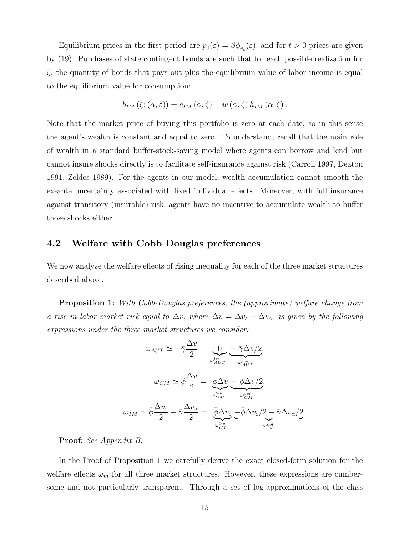Equilibrium prices in the first period are  $p_0(\varepsilon) = \beta \phi_{v_\varepsilon}(\varepsilon)$ , and for  $t > 0$  prices are given by (19). Purchases of state contingent bonds are such that for each possible realization for  $\zeta$ , the quantity of bonds that pays out plus the equilibrium value of labor income is equal to the equilibrium value for consumption:

$$
b_{IM}(\zeta; (\alpha, \varepsilon)) = c_{IM}(\alpha, \zeta) - w(\alpha, \zeta) h_{IM}(\alpha, \zeta).
$$

Note that the market price of buying this portfolio is zero at each date, so in this sense the agent's wealth is constant and equal to zero. To understand, recall that the main role of wealth in a standard buffer-stock-saving model where agents can borrow and lend but cannot insure shocks directly is to facilitate self-insurance against risk (Carroll 1997, Deaton 1991, Zeldes 1989). For the agents in our model, wealth accumulation cannot smooth the ex-ante uncertainty associated with fixed individual effects. Moreover, with full insurance against transitory (insurable) risk, agents have no incentive to accumulate wealth to buffer those shocks either.

#### 4.2 Welfare with Cobb Douglas preferences

We now analyze the welfare effects of rising inequality for each of the three market structures described above.

Proposition 1: With Cobb-Douglas preferences, the (approximate) welfare change from a rise in labor market risk equal to  $\Delta v$ , where  $\Delta v = \Delta v_{\varepsilon} + \Delta v_{\alpha}$ , is given by the following expressions under the three market structures we consider:

$$
\omega_{AUT} \simeq -\bar{\gamma}\frac{\Delta v}{2} = \underbrace{0}_{\omega_{AUT}^{lev}} - \frac{\bar{\gamma}\Delta v/2}_{\omega_{AIT}^{vol}};
$$
\n
$$
\omega_{CM} \simeq \bar{\phi}\frac{\Delta v}{2} = \underbrace{\bar{\phi}\Delta v}_{\omega_{CM}^{lev}} - \underbrace{\bar{\phi}\Delta v/2}_{\omega_{CM}^{vol}};
$$
\n
$$
\omega_{IM} \simeq \bar{\phi}\frac{\Delta v_{\varepsilon}}{2} - \bar{\gamma}\frac{\Delta v_{\alpha}}{2} = \underbrace{\bar{\phi}\Delta v_{\varepsilon}}_{\omega_{IM}^{lev}} - \underbrace{\bar{\phi}\Delta v_{\varepsilon}/2 - \bar{\gamma}\Delta v_{\alpha}/2}_{\omega_{IM}^{vol}}
$$

#### Proof: See Appendix B.

In the Proof of Proposition 1 we carefully derive the exact closed-form solution for the welfare effects  $\omega_m$  for all three market structures. However, these expressions are cumbersome and not particularly transparent. Through a set of log-approximations of the class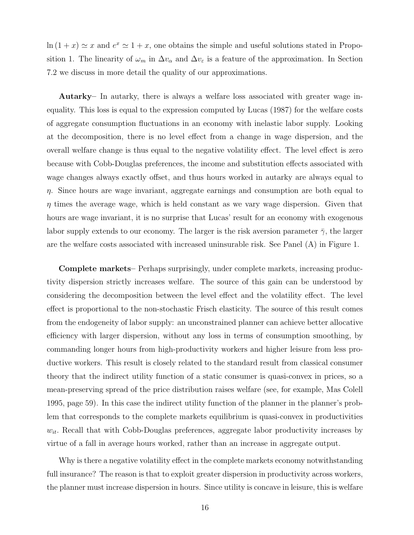$\ln(1+x) \simeq x$  and  $e^x \simeq 1+x$ , one obtains the simple and useful solutions stated in Proposition 1. The linearity of  $\omega_m$  in  $\Delta v_\alpha$  and  $\Delta v_\epsilon$  is a feature of the approximation. In Section 7.2 we discuss in more detail the quality of our approximations.

Autarky– In autarky, there is always a welfare loss associated with greater wage inequality. This loss is equal to the expression computed by Lucas (1987) for the welfare costs of aggregate consumption fluctuations in an economy with inelastic labor supply. Looking at the decomposition, there is no level effect from a change in wage dispersion, and the overall welfare change is thus equal to the negative volatility effect. The level effect is zero because with Cobb-Douglas preferences, the income and substitution effects associated with wage changes always exactly offset, and thus hours worked in autarky are always equal to  $\eta$ . Since hours are wage invariant, aggregate earnings and consumption are both equal to  $\eta$  times the average wage, which is held constant as we vary wage dispersion. Given that hours are wage invariant, it is no surprise that Lucas' result for an economy with exogenous labor supply extends to our economy. The larger is the risk aversion parameter  $\bar{\gamma}$ , the larger are the welfare costs associated with increased uninsurable risk. See Panel (A) in Figure 1.

Complete markets– Perhaps surprisingly, under complete markets, increasing productivity dispersion strictly increases welfare. The source of this gain can be understood by considering the decomposition between the level effect and the volatility effect. The level effect is proportional to the non-stochastic Frisch elasticity. The source of this result comes from the endogeneity of labor supply: an unconstrained planner can achieve better allocative efficiency with larger dispersion, without any loss in terms of consumption smoothing, by commanding longer hours from high-productivity workers and higher leisure from less productive workers. This result is closely related to the standard result from classical consumer theory that the indirect utility function of a static consumer is quasi-convex in prices, so a mean-preserving spread of the price distribution raises welfare (see, for example, Mas Colell 1995, page 59). In this case the indirect utility function of the planner in the planner's problem that corresponds to the complete markets equilibrium is quasi-convex in productivities  $w_{it}$ . Recall that with Cobb-Douglas preferences, aggregate labor productivity increases by virtue of a fall in average hours worked, rather than an increase in aggregate output.

Why is there a negative volatility effect in the complete markets economy notwithstanding full insurance? The reason is that to exploit greater dispersion in productivity across workers, the planner must increase dispersion in hours. Since utility is concave in leisure, this is welfare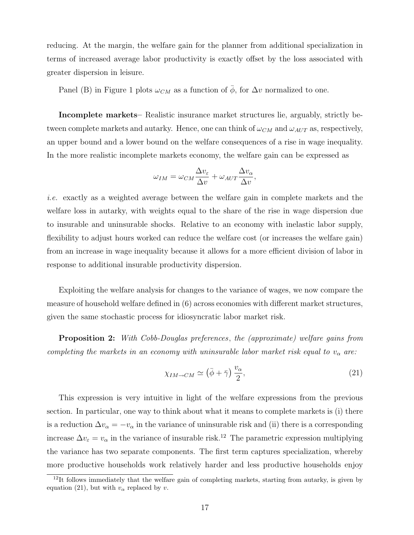reducing. At the margin, the welfare gain for the planner from additional specialization in terms of increased average labor productivity is exactly offset by the loss associated with greater dispersion in leisure.

Panel (B) in Figure 1 plots  $\omega_{CM}$  as a function of  $\bar{\phi}$ , for  $\Delta v$  normalized to one.

Incomplete markets– Realistic insurance market structures lie, arguably, strictly between complete markets and autarky. Hence, one can think of  $\omega_{CM}$  and  $\omega_{AUT}$  as, respectively, an upper bound and a lower bound on the welfare consequences of a rise in wage inequality. In the more realistic incomplete markets economy, the welfare gain can be expressed as

$$
\omega_{IM} = \omega_{CM} \frac{\Delta v_{\varepsilon}}{\Delta v} + \omega_{AUT} \frac{\Delta v_{\alpha}}{\Delta v},
$$

i.e. exactly as a weighted average between the welfare gain in complete markets and the welfare loss in autarky, with weights equal to the share of the rise in wage dispersion due to insurable and uninsurable shocks. Relative to an economy with inelastic labor supply, flexibility to adjust hours worked can reduce the welfare cost (or increases the welfare gain) from an increase in wage inequality because it allows for a more efficient division of labor in response to additional insurable productivity dispersion.

Exploiting the welfare analysis for changes to the variance of wages, we now compare the measure of household welfare defined in (6) across economies with different market structures, given the same stochastic process for idiosyncratic labor market risk.

**Proposition 2:** With Cobb-Douglas preferences, the (approximate) welfare gains from completing the markets in an economy with uninsurable labor market risk equal to  $v_{\alpha}$  are:

$$
\chi_{IM \to CM} \simeq (\bar{\phi} + \bar{\gamma}) \frac{v_{\alpha}}{2},\tag{21}
$$

This expression is very intuitive in light of the welfare expressions from the previous section. In particular, one way to think about what it means to complete markets is (i) there is a reduction  $\Delta v_{\alpha} = -v_{\alpha}$  in the variance of uninsurable risk and (ii) there is a corresponding increase  $\Delta v_{\varepsilon} = v_{\alpha}$  in the variance of insurable risk.<sup>12</sup> The parametric expression multiplying the variance has two separate components. The first term captures specialization, whereby more productive households work relatively harder and less productive households enjoy

 $12$ It follows immediately that the welfare gain of completing markets, starting from autarky, is given by equation (21), but with  $v_{\alpha}$  replaced by v.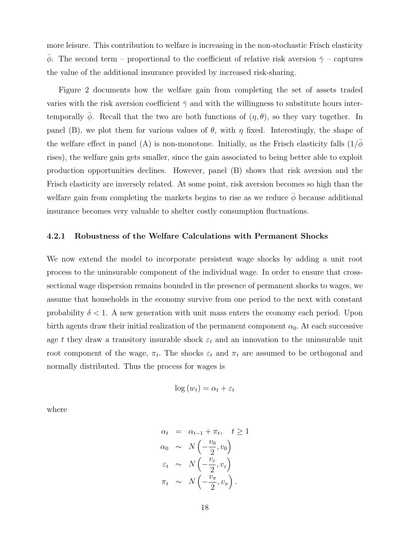more leisure. This contribution to welfare is increasing in the non-stochastic Frisch elasticity  $\bar{\phi}$ . The second term – proportional to the coefficient of relative risk aversion  $\bar{\gamma}$  – captures the value of the additional insurance provided by increased risk-sharing.

Figure 2 documents how the welfare gain from completing the set of assets traded varies with the risk aversion coefficient  $\bar{\gamma}$  and with the willingness to substitute hours intertemporally  $\phi$ . Recall that the two are both functions of  $(\eta, \theta)$ , so they vary together. In panel (B), we plot them for various values of  $\theta$ , with  $\eta$  fixed. Interestingly, the shape of the welfare effect in panel (A) is non-monotone. Initially, as the Frisch elasticity falls  $(1/\phi$ rises), the welfare gain gets smaller, since the gain associated to being better able to exploit production opportunities declines. However, panel (B) shows that risk aversion and the Frisch elasticity are inversely related. At some point, risk aversion becomes so high than the welfare gain from completing the markets begins to rise as we reduce  $\bar{\phi}$  because additional insurance becomes very valuable to shelter costly consumption fluctuations.

#### 4.2.1 Robustness of the Welfare Calculations with Permanent Shocks

We now extend the model to incorporate persistent wage shocks by adding a unit root process to the uninsurable component of the individual wage. In order to ensure that crosssectional wage dispersion remains bounded in the presence of permanent shocks to wages, we assume that households in the economy survive from one period to the next with constant probability  $\delta < 1$ . A new generation with unit mass enters the economy each period. Upon birth agents draw their initial realization of the permanent component  $\alpha_0$ . At each successive age t they draw a transitory insurable shock  $\varepsilon_t$  and an innovation to the uninsurable unit root component of the wage,  $\pi_t$ . The shocks  $\varepsilon_t$  and  $\pi_t$  are assumed to be orthogonal and normally distributed. Thus the process for wages is

$$
\log(w_t) = \alpha_t + \varepsilon_t
$$

where

$$
\alpha_t = \alpha_{t-1} + \pi_t, \quad t \ge 1
$$
  
\n
$$
\alpha_0 \sim N\left(-\frac{v_0}{2}, v_0\right)
$$
  
\n
$$
\varepsilon_t \sim N\left(-\frac{v_\varepsilon}{2}, v_\varepsilon\right)
$$
  
\n
$$
\pi_t \sim N\left(-\frac{v_\pi}{2}, v_\pi\right).
$$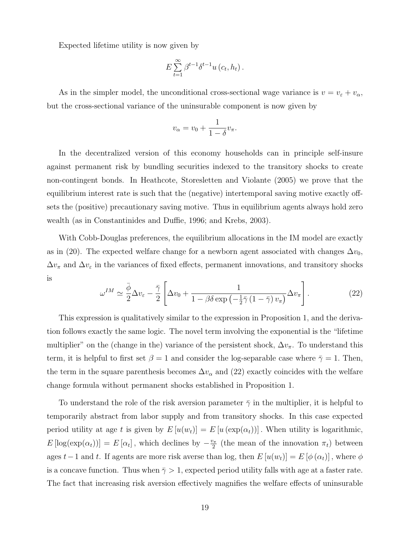Expected lifetime utility is now given by

$$
E\sum_{t=1}^{\infty}\beta^{t-1}\delta^{t-1}u\left(c_{t},h_{t}\right).
$$

As in the simpler model, the unconditional cross-sectional wage variance is  $v = v_{\varepsilon} + v_{\alpha}$ , but the cross-sectional variance of the uninsurable component is now given by

$$
v_{\alpha} = v_0 + \frac{1}{1 - \delta} v_{\pi}.
$$

In the decentralized version of this economy households can in principle self-insure against permanent risk by bundling securities indexed to the transitory shocks to create non-contingent bonds. In Heathcote, Storesletten and Violante (2005) we prove that the equilibrium interest rate is such that the (negative) intertemporal saving motive exactly offsets the (positive) precautionary saving motive. Thus in equilibrium agents always hold zero wealth (as in Constantinides and Duffie, 1996; and Krebs, 2003).

With Cobb-Douglas preferences, the equilibrium allocations in the IM model are exactly as in (20). The expected welfare change for a newborn agent associated with changes  $\Delta v_0$ ,  $\Delta v_{\pi}$  and  $\Delta v_{\varepsilon}$  in the variances of fixed effects, permanent innovations, and transitory shocks is .<br> $\overline{r}$  $\overline{a}$ 

$$
\omega^{IM} \simeq \frac{\bar{\phi}}{2} \Delta v_{\varepsilon} - \frac{\bar{\gamma}}{2} \left[ \Delta v_0 + \frac{1}{1 - \beta \delta \exp\left(-\frac{1}{2}\bar{\gamma}\left(1 - \bar{\gamma}\right)v_{\pi}\right)} \Delta v_{\pi} \right]. \tag{22}
$$

This expression is qualitatively similar to the expression in Proposition 1, and the derivation follows exactly the same logic. The novel term involving the exponential is the "lifetime multiplier" on the (change in the) variance of the persistent shock,  $\Delta v_{\pi}$ . To understand this term, it is helpful to first set  $\beta = 1$  and consider the log-separable case where  $\bar{\gamma} = 1$ . Then, the term in the square parenthesis becomes  $\Delta v_{\alpha}$  and (22) exactly coincides with the welfare change formula without permanent shocks established in Proposition 1.

To understand the role of the risk aversion parameter  $\bar{\gamma}$  in the multiplier, it is helpful to temporarily abstract from labor supply and from transitory shocks. In this case expected period utility at age t is given by  $E[u(w_t)] = E[u(\exp(\alpha_t))]$ . When utility is logarithmic,  $E\left[log(exp(\alpha_t))] = E[\alpha_t]$ , which declines by  $-\frac{v_{\pi}}{2}$  $\frac{2\pi}{2}$  (the mean of the innovation  $\pi_t$ ) between ages  $t-1$  and t. If agents are more risk averse than log, then  $E[u(w_t)] = E[\phi(\alpha_t)]$ , where  $\phi$ is a concave function. Thus when  $\bar{\gamma} > 1$ , expected period utility falls with age at a faster rate. The fact that increasing risk aversion effectively magnifies the welfare effects of uninsurable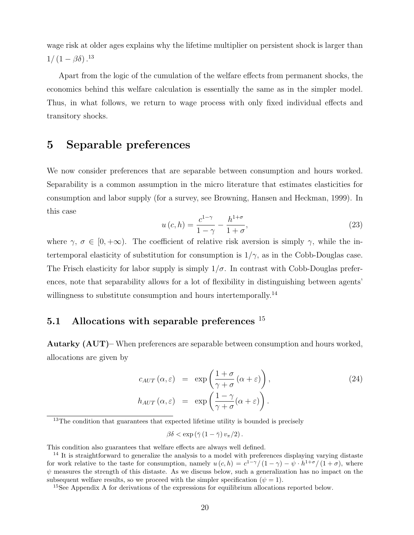wage risk at older ages explains why the lifetime multiplier on persistent shock is larger than  $1/(1-\beta\delta)^{13}$ 

Apart from the logic of the cumulation of the welfare effects from permanent shocks, the economics behind this welfare calculation is essentially the same as in the simpler model. Thus, in what follows, we return to wage process with only fixed individual effects and transitory shocks.

## 5 Separable preferences

We now consider preferences that are separable between consumption and hours worked. Separability is a common assumption in the micro literature that estimates elasticities for consumption and labor supply (for a survey, see Browning, Hansen and Heckman, 1999). In this case

$$
u\left(c,h\right) = \frac{c^{1-\gamma}}{1-\gamma} - \frac{h^{1+\sigma}}{1+\sigma},\tag{23}
$$

where  $\gamma, \sigma \in [0, +\infty)$ . The coefficient of relative risk aversion is simply  $\gamma$ , while the intertemporal elasticity of substitution for consumption is  $1/\gamma$ , as in the Cobb-Douglas case. The Frisch elasticity for labor supply is simply  $1/\sigma$ . In contrast with Cobb-Douglas preferences, note that separability allows for a lot of flexibility in distinguishing between agents' willingness to substitute consumption and hours intertemporally.<sup>14</sup>

## 5.1 Allocations with separable preferences  $15$

Autarky (AUT)– When preferences are separable between consumption and hours worked, allocations are given by

$$
c_{AUT}(\alpha,\varepsilon) = \exp\left(\frac{1+\sigma}{\gamma+\sigma}(\alpha+\varepsilon)\right),
$$
  
\n
$$
h_{AUT}(\alpha,\varepsilon) = \exp\left(\frac{1-\gamma}{\gamma+\sigma}(\alpha+\varepsilon)\right).
$$
\n(24)

 $13$ The condition that guarantees that expected lifetime utility is bounded is precisely

$$
\beta\delta < \exp\left(\bar{\gamma}\left(1-\bar{\gamma}\right)v_{\pi}/2\right).
$$

This condition also guarantees that welfare effects are always well defined.

<sup>&</sup>lt;sup>14</sup> It is straightforward to generalize the analysis to a model with preferences displaying varying distaste for work relative to the taste for consumption, namely  $u(c, h) = c^{1-\gamma}/(1-\gamma) - \psi \cdot h^{1+\sigma}/(1+\sigma)$ , where  $\psi$  measures the strength of this distaste. As we discuss below, such a generalization has no impact on the subsequent welfare results, so we proceed with the simpler specification ( $\psi = 1$ ).

<sup>&</sup>lt;sup>15</sup>See Appendix A for derivations of the expressions for equilibrium allocations reported below.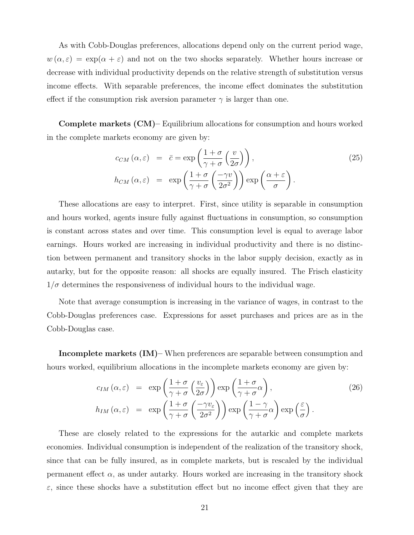As with Cobb-Douglas preferences, allocations depend only on the current period wage,  $w(\alpha, \varepsilon) = \exp(\alpha + \varepsilon)$  and not on the two shocks separately. Whether hours increase or decrease with individual productivity depends on the relative strength of substitution versus income effects. With separable preferences, the income effect dominates the substitution effect if the consumption risk aversion parameter  $\gamma$  is larger than one.

Complete markets (CM)– Equilibrium allocations for consumption and hours worked in the complete markets economy are given by:

$$
c_{CM}(\alpha, \varepsilon) = \bar{c} = \exp\left(\frac{1+\sigma}{\gamma+\sigma} \left(\frac{v}{2\sigma}\right)\right),
$$
  
\n
$$
h_{CM}(\alpha, \varepsilon) = \exp\left(\frac{1+\sigma}{\gamma+\sigma} \left(\frac{-\gamma v}{2\sigma^2}\right)\right) \exp\left(\frac{\alpha+\varepsilon}{\sigma}\right).
$$
\n(25)

These allocations are easy to interpret. First, since utility is separable in consumption and hours worked, agents insure fully against fluctuations in consumption, so consumption is constant across states and over time. This consumption level is equal to average labor earnings. Hours worked are increasing in individual productivity and there is no distinction between permanent and transitory shocks in the labor supply decision, exactly as in autarky, but for the opposite reason: all shocks are equally insured. The Frisch elasticity  $1/\sigma$  determines the responsiveness of individual hours to the individual wage.

Note that average consumption is increasing in the variance of wages, in contrast to the Cobb-Douglas preferences case. Expressions for asset purchases and prices are as in the Cobb-Douglas case.

Incomplete markets (IM)– When preferences are separable between consumption and hours worked, equilibrium allocations in the incomplete markets economy are given by:

$$
c_{IM}(\alpha,\varepsilon) = \exp\left(\frac{1+\sigma}{\gamma+\sigma}\left(\frac{v_{\varepsilon}}{2\sigma}\right)\right) \exp\left(\frac{1+\sigma}{\gamma+\sigma}\alpha\right),
$$
  
\n
$$
h_{IM}(\alpha,\varepsilon) = \exp\left(\frac{1+\sigma}{\gamma+\sigma}\left(\frac{-\gamma v_{\varepsilon}}{2\sigma^2}\right)\right) \exp\left(\frac{1-\gamma}{\gamma+\sigma}\alpha\right) \exp\left(\frac{\varepsilon}{\sigma}\right).
$$
\n(26)

These are closely related to the expressions for the autarkic and complete markets economies. Individual consumption is independent of the realization of the transitory shock, since that can be fully insured, as in complete markets, but is rescaled by the individual permanent effect  $\alpha$ , as under autarky. Hours worked are increasing in the transitory shock  $\varepsilon$ , since these shocks have a substitution effect but no income effect given that they are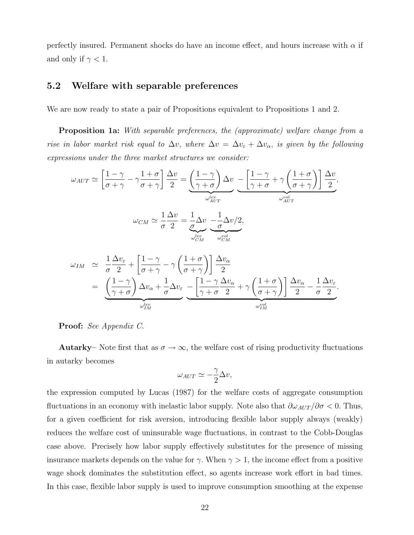perfectly insured. Permanent shocks do have an income effect, and hours increase with  $\alpha$  if and only if  $\gamma < 1$ .

### 5.2 Welfare with separable preferences

We are now ready to state a pair of Propositions equivalent to Propositions 1 and 2.

Proposition 1a: With separable preferences, the (approximate) welfare change from a rise in labor market risk equal to  $\Delta v$ , where  $\Delta v = \Delta v_{\varepsilon} + \Delta v_{\alpha}$ , is given by the following expressions under the three market structures we consider:

$$
\omega_{AUT} \simeq \left[\frac{1-\gamma}{\sigma+\gamma} - \gamma \frac{1+\sigma}{\sigma+\gamma}\right] \frac{\Delta v}{2} = \underbrace{\left(\frac{1-\gamma}{\gamma+\sigma}\right) \Delta v}_{\omega_{AUT}^{lev}} - \underbrace{\left[\frac{1-\gamma}{\gamma+\sigma} + \gamma \left(\frac{1+\sigma}{\sigma+\gamma}\right)\right] \frac{\Delta v}{2}}_{\omega_{AIT}^{vol}},
$$
\n
$$
\omega_{CM} \simeq \frac{1}{\sigma} \frac{\Delta v}{2} = \underbrace{\frac{1}{\sigma} \Delta v}_{\omega_{CM}^{lev}} - \underbrace{\frac{1}{\sigma} \Delta v/2}_{\omega_{CM}^{vol}},
$$

$$
\omega_{IM} \simeq \frac{1}{\sigma} \frac{\Delta v_{\varepsilon}}{2} + \left[ \frac{1 - \gamma}{\sigma + \gamma} - \gamma \left( \frac{1 + \sigma}{\sigma + \gamma} \right) \right] \frac{\Delta v_{\alpha}}{2}
$$
\n
$$
= \underbrace{\left( \frac{1 - \gamma}{\gamma + \sigma} \right) \Delta v_{\alpha} + \frac{1}{\sigma} \Delta v_{\varepsilon}}_{\omega_{IM}^{lev}} - \underbrace{\left[ \frac{1 - \gamma}{\gamma + \sigma} \frac{\Delta v_{\alpha}}{2} + \gamma \left( \frac{1 + \sigma}{\sigma + \gamma} \right) \right] \frac{\Delta v_{\alpha}}{2} - \frac{1}{\sigma} \frac{\Delta v_{\varepsilon}}{2}}_{\omega_{IM}^{vol}}.
$$

#### Proof: See Appendix C.

**Autarky–** Note first that as  $\sigma \to \infty$ , the welfare cost of rising productivity fluctuations in autarky becomes

$$
\omega_{AUT} \simeq -\frac{\gamma}{2}\Delta v,
$$

the expression computed by Lucas (1987) for the welfare costs of aggregate consumption fluctuations in an economy with inelastic labor supply. Note also that  $\partial \omega_{AUT}/\partial \sigma < 0$ . Thus, for a given coefficient for risk aversion, introducing flexible labor supply always (weakly) reduces the welfare cost of uninsurable wage fluctuations, in contrast to the Cobb-Douglas case above. Precisely how labor supply effectively substitutes for the presence of missing insurance markets depends on the value for  $\gamma$ . When  $\gamma > 1$ , the income effect from a positive wage shock dominates the substitution effect, so agents increase work effort in bad times. In this case, flexible labor supply is used to improve consumption smoothing at the expense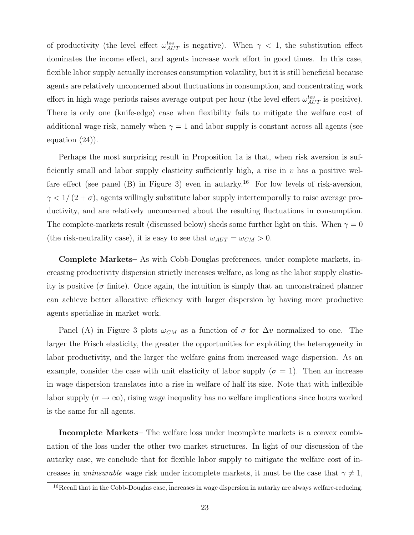of productivity (the level effect  $\omega_{AUT}^{lev}$  is negative). When  $\gamma$  < 1, the substitution effect dominates the income effect, and agents increase work effort in good times. In this case, flexible labor supply actually increases consumption volatility, but it is still beneficial because agents are relatively unconcerned about fluctuations in consumption, and concentrating work effort in high wage periods raises average output per hour (the level effect  $\omega_{AUT}^{lev}$  is positive). There is only one (knife-edge) case when flexibility fails to mitigate the welfare cost of additional wage risk, namely when  $\gamma = 1$  and labor supply is constant across all agents (see equation (24)).

Perhaps the most surprising result in Proposition 1a is that, when risk aversion is sufficiently small and labor supply elasticity sufficiently high, a rise in  $v$  has a positive welfare effect (see panel (B) in Figure 3) even in autarky.<sup>16</sup> For low levels of risk-aversion,  $\gamma$  < 1/(2+ $\sigma$ ), agents willingly substitute labor supply intertemporally to raise average productivity, and are relatively unconcerned about the resulting fluctuations in consumption. The complete-markets result (discussed below) sheds some further light on this. When  $\gamma = 0$ (the risk-neutrality case), it is easy to see that  $\omega_{AUT} = \omega_{CM} > 0$ .

Complete Markets– As with Cobb-Douglas preferences, under complete markets, increasing productivity dispersion strictly increases welfare, as long as the labor supply elasticity is positive ( $\sigma$  finite). Once again, the intuition is simply that an unconstrained planner can achieve better allocative efficiency with larger dispersion by having more productive agents specialize in market work.

Panel (A) in Figure 3 plots  $\omega_{CM}$  as a function of  $\sigma$  for  $\Delta v$  normalized to one. The larger the Frisch elasticity, the greater the opportunities for exploiting the heterogeneity in labor productivity, and the larger the welfare gains from increased wage dispersion. As an example, consider the case with unit elasticity of labor supply  $(\sigma = 1)$ . Then an increase in wage dispersion translates into a rise in welfare of half its size. Note that with inflexible labor supply  $(\sigma \to \infty)$ , rising wage inequality has no welfare implications since hours worked is the same for all agents.

Incomplete Markets– The welfare loss under incomplete markets is a convex combination of the loss under the other two market structures. In light of our discussion of the autarky case, we conclude that for flexible labor supply to mitigate the welfare cost of increases in uninsurable wage risk under incomplete markets, it must be the case that  $\gamma \neq 1$ ,

<sup>&</sup>lt;sup>16</sup>Recall that in the Cobb-Douglas case, increases in wage dispersion in autarky are always welfare-reducing.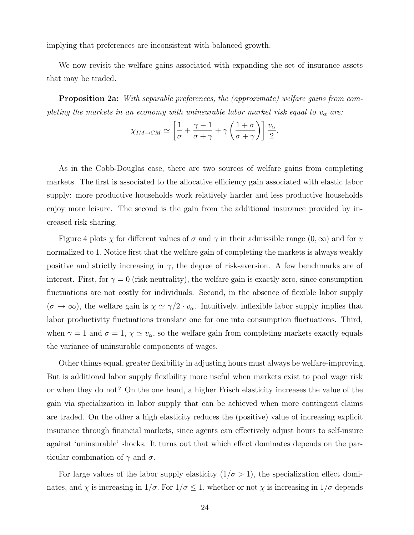implying that preferences are inconsistent with balanced growth.

We now revisit the welfare gains associated with expanding the set of insurance assets that may be traded.

Proposition 2a: With separable preferences, the (approximate) welfare gains from completing the markets in an economy with uninsurable labor market risk equal to  $v_{\alpha}$  are:

$$
\chi_{IM\to CM} \simeq \left[\frac{1}{\sigma} + \frac{\gamma - 1}{\sigma + \gamma} + \gamma \left(\frac{1 + \sigma}{\sigma + \gamma}\right)\right] \frac{v_{\alpha}}{2}.
$$

As in the Cobb-Douglas case, there are two sources of welfare gains from completing markets. The first is associated to the allocative efficiency gain associated with elastic labor supply: more productive households work relatively harder and less productive households enjoy more leisure. The second is the gain from the additional insurance provided by increased risk sharing.

Figure 4 plots  $\chi$  for different values of  $\sigma$  and  $\gamma$  in their admissible range  $(0,\infty)$  and for v normalized to 1. Notice first that the welfare gain of completing the markets is always weakly positive and strictly increasing in  $\gamma$ , the degree of risk-aversion. A few benchmarks are of interest. First, for  $\gamma = 0$  (risk-neutrality), the welfare gain is exactly zero, since consumption fluctuations are not costly for individuals. Second, in the absence of flexible labor supply  $(\sigma \to \infty)$ , the welfare gain is  $\chi \simeq \gamma/2 \cdot v_\alpha$ . Intuitively, inflexible labor supply implies that labor productivity fluctuations translate one for one into consumption fluctuations. Third, when  $\gamma = 1$  and  $\sigma = 1$ ,  $\chi \simeq v_{\alpha}$ , so the welfare gain from completing markets exactly equals the variance of uninsurable components of wages.

Other things equal, greater flexibility in adjusting hours must always be welfare-improving. But is additional labor supply flexibility more useful when markets exist to pool wage risk or when they do not? On the one hand, a higher Frisch elasticity increases the value of the gain via specialization in labor supply that can be achieved when more contingent claims are traded. On the other a high elasticity reduces the (positive) value of increasing explicit insurance through financial markets, since agents can effectively adjust hours to self-insure against 'uninsurable' shocks. It turns out that which effect dominates depends on the particular combination of  $\gamma$  and  $\sigma$ .

For large values of the labor supply elasticity  $(1/\sigma > 1)$ , the specialization effect dominates, and  $\chi$  is increasing in  $1/\sigma$ . For  $1/\sigma \leq 1$ , whether or not  $\chi$  is increasing in  $1/\sigma$  depends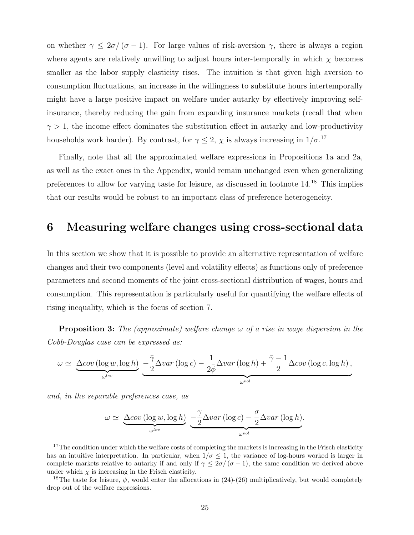on whether  $\gamma \leq 2\sigma/(\sigma-1)$ . For large values of risk-aversion  $\gamma$ , there is always a region where agents are relatively unwilling to adjust hours inter-temporally in which  $\chi$  becomes smaller as the labor supply elasticity rises. The intuition is that given high aversion to consumption fluctuations, an increase in the willingness to substitute hours intertemporally might have a large positive impact on welfare under autarky by effectively improving selfinsurance, thereby reducing the gain from expanding insurance markets (recall that when  $\gamma > 1$ , the income effect dominates the substitution effect in autarky and low-productivity households work harder). By contrast, for  $\gamma \leq 2$ ,  $\chi$  is always increasing in  $1/\sigma$ .<sup>17</sup>

Finally, note that all the approximated welfare expressions in Propositions 1a and 2a, as well as the exact ones in the Appendix, would remain unchanged even when generalizing preferences to allow for varying taste for leisure, as discussed in footnote 14.<sup>18</sup> This implies that our results would be robust to an important class of preference heterogeneity.

## 6 Measuring welfare changes using cross-sectional data

In this section we show that it is possible to provide an alternative representation of welfare changes and their two components (level and volatility effects) as functions only of preference parameters and second moments of the joint cross-sectional distribution of wages, hours and consumption. This representation is particularly useful for quantifying the welfare effects of rising inequality, which is the focus of section 7.

**Proposition 3:** The (approximate) welfare change  $\omega$  of a rise in wage dispersion in the Cobb-Douglas case can be expressed as:

$$
\omega \simeq \underbrace{\Delta cov (\log w, \log h)}_{\omega^{lev}} \underbrace{-\frac{\bar{\gamma}}{2} \Delta var (\log c) - \frac{1}{2\bar{\phi}} \Delta var (\log h) + \frac{\bar{\gamma} - 1}{2} \Delta cov (\log c, \log h)}_{\omega^{vol}},
$$

and, in the separable preferences case, as

$$
\omega \simeq \underbrace{\Delta cov (\log w, \log h)}_{\omega^{lev}} \underbrace{-\frac{\gamma}{2} \Delta var (\log c) - \frac{\sigma}{2} \Delta var (\log h)}_{\omega^{vol}}.
$$

 $17$ The condition under which the welfare costs of completing the markets is increasing in the Frisch elasticity has an intuitive interpretation. In particular, when  $1/\sigma \leq 1$ , the variance of log-hours worked is larger in complete markets relative to autarky if and only if  $\gamma \leq 2\sigma/(\sigma-1)$ , the same condition we derived above under which  $\chi$  is increasing in the Frisch elasticity.

<sup>&</sup>lt;sup>18</sup>The taste for leisure,  $\psi$ , would enter the allocations in (24)-(26) multiplicatively, but would completely drop out of the welfare expressions.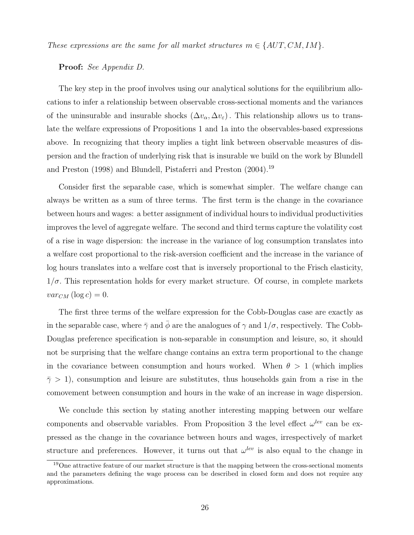These expressions are the same for all market structures  $m \in \{AUT, CM, IM\}$ .

Proof: See Appendix D.

The key step in the proof involves using our analytical solutions for the equilibrium allocations to infer a relationship between observable cross-sectional moments and the variances of the uninsurable and insurable shocks  $(\Delta v_{\alpha}, \Delta v_{\epsilon})$ . This relationship allows us to translate the welfare expressions of Propositions 1 and 1a into the observables-based expressions above. In recognizing that theory implies a tight link between observable measures of dispersion and the fraction of underlying risk that is insurable we build on the work by Blundell and Preston (1998) and Blundell, Pistaferri and Preston (2004).<sup>19</sup>

Consider first the separable case, which is somewhat simpler. The welfare change can always be written as a sum of three terms. The first term is the change in the covariance between hours and wages: a better assignment of individual hours to individual productivities improves the level of aggregate welfare. The second and third terms capture the volatility cost of a rise in wage dispersion: the increase in the variance of log consumption translates into a welfare cost proportional to the risk-aversion coefficient and the increase in the variance of log hours translates into a welfare cost that is inversely proportional to the Frisch elasticity,  $1/\sigma$ . This representation holds for every market structure. Of course, in complete markets  $var_{CM}$  (log c) = 0.

The first three terms of the welfare expression for the Cobb-Douglas case are exactly as in the separable case, where  $\bar{\gamma}$  and  $\bar{\phi}$  are the analogues of  $\gamma$  and  $1/\sigma$ , respectively. The Cobb-Douglas preference specification is non-separable in consumption and leisure, so, it should not be surprising that the welfare change contains an extra term proportional to the change in the covariance between consumption and hours worked. When  $\theta > 1$  (which implies  $\bar{\gamma} > 1$ , consumption and leisure are substitutes, thus households gain from a rise in the comovement between consumption and hours in the wake of an increase in wage dispersion.

We conclude this section by stating another interesting mapping between our welfare components and observable variables. From Proposition 3 the level effect  $\omega^{lev}$  can be expressed as the change in the covariance between hours and wages, irrespectively of market structure and preferences. However, it turns out that  $\omega^{lev}$  is also equal to the change in

<sup>&</sup>lt;sup>19</sup>One attractive feature of our market structure is that the mapping between the cross-sectional moments and the parameters defining the wage process can be described in closed form and does not require any approximations.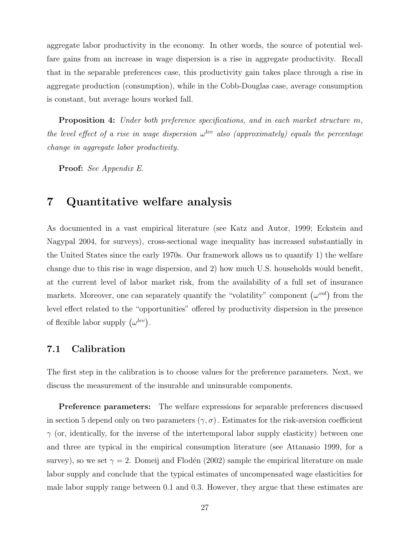aggregate labor productivity in the economy. In other words, the source of potential welfare gains from an increase in wage dispersion is a rise in aggregate productivity. Recall that in the separable preferences case, this productivity gain takes place through a rise in aggregate production (consumption), while in the Cobb-Douglas case, average consumption is constant, but average hours worked fall.

Proposition 4: Under both preference specifications, and in each market structure m, the level effect of a rise in wage dispersion  $\omega^{lev}$  also (approximately) equals the percentage change in aggregate labor productivity.

Proof: See Appendix E.

## 7 Quantitative welfare analysis

As documented in a vast empirical literature (see Katz and Autor, 1999; Eckstein and Nagypal 2004, for surveys), cross-sectional wage inequality has increased substantially in the United States since the early 1970s. Our framework allows us to quantify 1) the welfare change due to this rise in wage dispersion, and 2) how much U.S. households would benefit, at the current level of labor market risk, from the availability of a full set of insurance markets. Moreover, one can separately quantify the "volatility" component  $(\omega^{vol})$  from the level effect related to the "opportunities" offered by productivity dispersion in the presence of flexible labor supply  $(\omega^{lev})$ .

#### 7.1 Calibration

The first step in the calibration is to choose values for the preference parameters. Next, we discuss the measurement of the insurable and uninsurable components.

Preference parameters: The welfare expressions for separable preferences discussed in section 5 depend only on two parameters  $(\gamma, \sigma)$ . Estimates for the risk-aversion coefficient  $\gamma$  (or, identically, for the inverse of the intertemporal labor supply elasticity) between one and three are typical in the empirical consumption literature (see Attanasio 1999, for a survey), so we set  $\gamma = 2$ . Domeij and Flodén (2002) sample the empirical literature on male labor supply and conclude that the typical estimates of uncompensated wage elasticities for male labor supply range between 0.1 and 0.3. However, they argue that these estimates are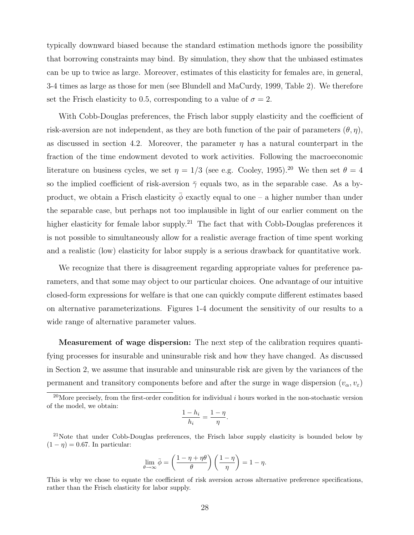typically downward biased because the standard estimation methods ignore the possibility that borrowing constraints may bind. By simulation, they show that the unbiased estimates can be up to twice as large. Moreover, estimates of this elasticity for females are, in general, 3-4 times as large as those for men (see Blundell and MaCurdy, 1999, Table 2). We therefore set the Frisch elasticity to 0.5, corresponding to a value of  $\sigma = 2$ .

With Cobb-Douglas preferences, the Frisch labor supply elasticity and the coefficient of risk-aversion are not independent, as they are both function of the pair of parameters  $(\theta, \eta)$ , as discussed in section 4.2. Moreover, the parameter  $\eta$  has a natural counterpart in the fraction of the time endowment devoted to work activities. Following the macroeconomic literature on business cycles, we set  $\eta = 1/3$  (see e.g. Cooley, 1995).<sup>20</sup> We then set  $\theta = 4$ so the implied coefficient of risk-aversion  $\bar{\gamma}$  equals two, as in the separable case. As a byproduct, we obtain a Frisch elasticity  $\bar{\phi}$  exactly equal to one – a higher number than under the separable case, but perhaps not too implausible in light of our earlier comment on the higher elasticity for female labor supply.<sup>21</sup> The fact that with Cobb-Douglas preferences it is not possible to simultaneously allow for a realistic average fraction of time spent working and a realistic (low) elasticity for labor supply is a serious drawback for quantitative work.

We recognize that there is disagreement regarding appropriate values for preference parameters, and that some may object to our particular choices. One advantage of our intuitive closed-form expressions for welfare is that one can quickly compute different estimates based on alternative parameterizations. Figures 1-4 document the sensitivity of our results to a wide range of alternative parameter values.

Measurement of wage dispersion: The next step of the calibration requires quantifying processes for insurable and uninsurable risk and how they have changed. As discussed in Section 2, we assume that insurable and uninsurable risk are given by the variances of the permanent and transitory components before and after the surge in wage dispersion  $(v_\alpha, v_\varepsilon)$ 

$$
\frac{1-h_i}{h_i} = \frac{1-\eta}{\eta}.
$$

<sup>21</sup>Note that under Cobb-Douglas preferences, the Frisch labor supply elasticity is bounded below by  $(1 - \eta) = 0.67$ . In particular:

$$
\lim_{\theta \to \infty} \bar{\phi} = \left(\frac{1 - \eta + \eta \theta}{\theta}\right) \left(\frac{1 - \eta}{\eta}\right) = 1 - \eta.
$$

This is why we chose to equate the coefficient of risk aversion across alternative preference specifications, rather than the Frisch elasticity for labor supply.

<sup>&</sup>lt;sup>20</sup>More precisely, from the first-order condition for individual  $i$  hours worked in the non-stochastic version of the model, we obtain: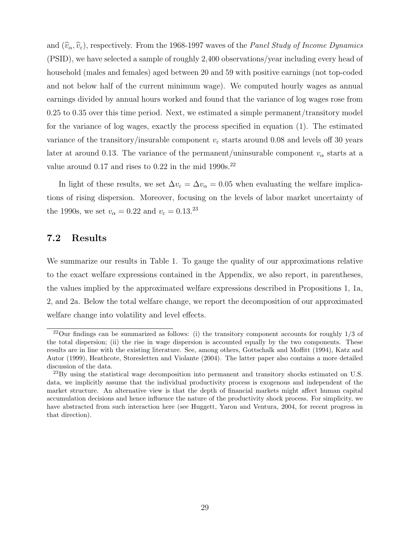and  $(\hat{v}_\alpha, \hat{v}_\epsilon)$ , respectively. From the 1968-1997 waves of the *Panel Study of Income Dynamics* (PSID), we have selected a sample of roughly 2,400 observations/year including every head of household (males and females) aged between 20 and 59 with positive earnings (not top-coded and not below half of the current minimum wage). We computed hourly wages as annual earnings divided by annual hours worked and found that the variance of log wages rose from 0.25 to 0.35 over this time period. Next, we estimated a simple permanent/transitory model for the variance of log wages, exactly the process specified in equation (1). The estimated variance of the transitory/insurable component  $v_{\varepsilon}$  starts around 0.08 and levels off 30 years later at around 0.13. The variance of the permanent/uninsurable component  $v_{\alpha}$  starts at a value around  $0.17$  and rises to  $0.22$  in the mid  $1990s.<sup>22</sup>$ 

In light of these results, we set  $\Delta v_{\varepsilon} = \Delta v_{\alpha} = 0.05$  when evaluating the welfare implications of rising dispersion. Moreover, focusing on the levels of labor market uncertainty of the 1990s, we set  $v_{\alpha} = 0.22$  and  $v_{\varepsilon} = 0.13^{23}$ 

#### 7.2 Results

We summarize our results in Table 1. To gauge the quality of our approximations relative to the exact welfare expressions contained in the Appendix, we also report, in parentheses, the values implied by the approximated welfare expressions described in Propositions 1, 1a, 2, and 2a. Below the total welfare change, we report the decomposition of our approximated welfare change into volatility and level effects.

 $22$ Our findings can be summarized as follows: (i) the transitory component accounts for roughly  $1/3$  of the total dispersion; (ii) the rise in wage dispersion is accounted equally by the two components. These results are in line with the existing literature. See, among others, Gottschalk and Moffitt (1994), Katz and Autor (1999), Heathcote, Storesletten and Violante (2004). The latter paper also contains a more detailed discussion of the data.

 $^{23}$ By using the statistical wage decomposition into permanent and transitory shocks estimated on U.S. data, we implicitly assume that the individual productivity process is exogenous and independent of the market structure. An alternative view is that the depth of financial markets might affect human capital accumulation decisions and hence influence the nature of the productivity shock process. For simplicity, we have abstracted from such interaction here (see Huggett, Yaron and Ventura, 2004, for recent progress in that direction).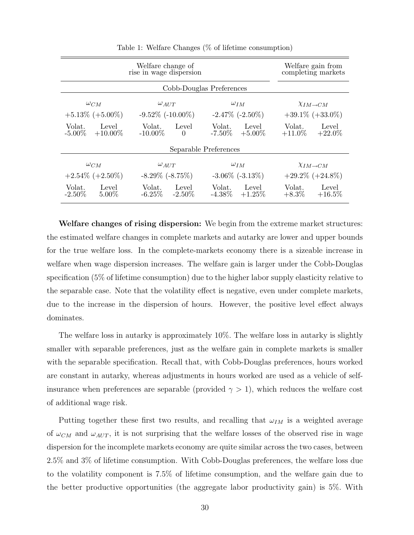|                                            | Welfare change of<br>rise in wage dispersion |                                           | Welfare gain from<br>completing markets   |
|--------------------------------------------|----------------------------------------------|-------------------------------------------|-------------------------------------------|
| Cobb-Douglas Preferences                   |                                              |                                           |                                           |
| $\omega_{CM}$                              | $\omega_{AUT}$                               | $\omega_{IM}$                             | $\chi_{IM\rightarrow CM}$                 |
| $+5.13\%$ (+5.00%)                         | $-9.52\%$ ( $-10.00\%$ )                     | $-2.47\%$ $(-2.50\%)$                     | $+39.1\% (+33.0\%)$                       |
| Volat.<br>Level<br>$-5.00\%$<br>$+10.00\%$ | Level<br>Volat.<br>$-10.00\%$<br>$\Omega$    | Level<br>Volat.<br>$-7.50\% + 5.00\%$     | Volat.<br>Level<br>$+11.0\%$<br>$+22.0\%$ |
| Separable Preferences                      |                                              |                                           |                                           |
| $\omega_{CM}$                              | $\omega_{AUT}$                               | $\omega_{IM}$                             | $\chi_{IM\rightarrow CM}$                 |
| $+2.54\%$ (+2.50%)                         | $-8.29\%$ $(-8.75\%)$                        | $-3.06\%$ ( $-3.13\%$ )                   | $+29.2\%$ ( $+24.8\%$ )                   |
| Volat.<br>Level<br>$-2.50\%$<br>$5.00\%$   | Volat.<br>Level<br>$-6.25\%$<br>-2.50 $\%$   | Volat.<br>Level<br>$-4.38\%$<br>$+1.25\%$ | Volat.<br>Level<br>$+8.3\%$<br>$+16.5\%$  |

Table 1: Welfare Changes (% of lifetime consumption)

Welfare changes of rising dispersion: We begin from the extreme market structures: the estimated welfare changes in complete markets and autarky are lower and upper bounds for the true welfare loss. In the complete-markets economy there is a sizeable increase in welfare when wage dispersion increases. The welfare gain is larger under the Cobb-Douglas specification (5% of lifetime consumption) due to the higher labor supply elasticity relative to the separable case. Note that the volatility effect is negative, even under complete markets, due to the increase in the dispersion of hours. However, the positive level effect always dominates.

The welfare loss in autarky is approximately 10%. The welfare loss in autarky is slightly smaller with separable preferences, just as the welfare gain in complete markets is smaller with the separable specification. Recall that, with Cobb-Douglas preferences, hours worked are constant in autarky, whereas adjustments in hours worked are used as a vehicle of selfinsurance when preferences are separable (provided  $\gamma > 1$ ), which reduces the welfare cost of additional wage risk.

Putting together these first two results, and recalling that  $\omega_{IM}$  is a weighted average of  $\omega_{CM}$  and  $\omega_{AUT}$ , it is not surprising that the welfare losses of the observed rise in wage dispersion for the incomplete markets economy are quite similar across the two cases, between 2.5% and 3% of lifetime consumption. With Cobb-Douglas preferences, the welfare loss due to the volatility component is 7.5% of lifetime consumption, and the welfare gain due to the better productive opportunities (the aggregate labor productivity gain) is 5%. With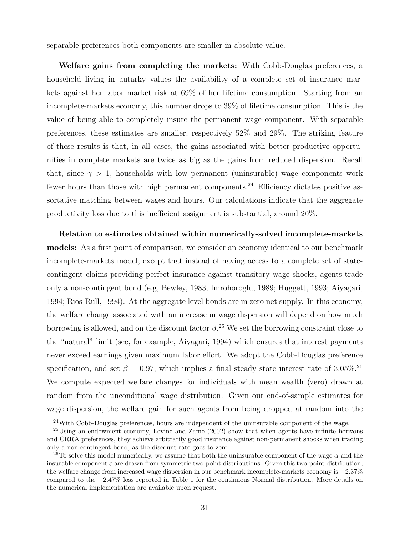separable preferences both components are smaller in absolute value.

Welfare gains from completing the markets: With Cobb-Douglas preferences, a household living in autarky values the availability of a complete set of insurance markets against her labor market risk at 69% of her lifetime consumption. Starting from an incomplete-markets economy, this number drops to 39% of lifetime consumption. This is the value of being able to completely insure the permanent wage component. With separable preferences, these estimates are smaller, respectively 52% and 29%. The striking feature of these results is that, in all cases, the gains associated with better productive opportunities in complete markets are twice as big as the gains from reduced dispersion. Recall that, since  $\gamma > 1$ , households with low permanent (uninsurable) wage components work fewer hours than those with high permanent components.<sup>24</sup> Efficiency dictates positive assortative matching between wages and hours. Our calculations indicate that the aggregate productivity loss due to this inefficient assignment is substantial, around 20%.

Relation to estimates obtained within numerically-solved incomplete-markets models: As a first point of comparison, we consider an economy identical to our benchmark incomplete-markets model, except that instead of having access to a complete set of statecontingent claims providing perfect insurance against transitory wage shocks, agents trade only a non-contingent bond (e.g, Bewley, 1983; Imrohoroglu, 1989; Huggett, 1993; Aiyagari, 1994; Rios-Rull, 1994). At the aggregate level bonds are in zero net supply. In this economy, the welfare change associated with an increase in wage dispersion will depend on how much borrowing is allowed, and on the discount factor  $\beta$ <sup>25</sup>. We set the borrowing constraint close to the "natural" limit (see, for example, Aiyagari, 1994) which ensures that interest payments never exceed earnings given maximum labor effort. We adopt the Cobb-Douglas preference specification, and set  $\beta = 0.97$ , which implies a final steady state interest rate of 3.05%.<sup>26</sup> We compute expected welfare changes for individuals with mean wealth (zero) drawn at random from the unconditional wage distribution. Given our end-of-sample estimates for wage dispersion, the welfare gain for such agents from being dropped at random into the

<sup>&</sup>lt;sup>24</sup>With Cobb-Douglas preferences, hours are independent of the uninsurable component of the wage.

<sup>&</sup>lt;sup>25</sup>Using an endowment economy, Levine and Zame (2002) show that when agents have infinite horizons and CRRA preferences, they achieve arbitrarily good insurance against non-permanent shocks when trading only a non-contingent bond, as the discount rate goes to zero.

<sup>&</sup>lt;sup>26</sup>To solve this model numerically, we assume that both the uninsurable component of the wage  $\alpha$  and the insurable component  $\varepsilon$  are drawn from symmetric two-point distributions. Given this two-point distribution, the welfare change from increased wage dispersion in our benchmark incomplete-markets economy is −2.37% compared to the −2.47% loss reported in Table 1 for the continuous Normal distribution. More details on the numerical implementation are available upon request.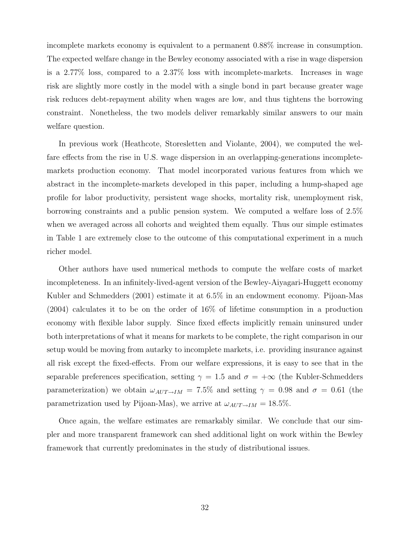incomplete markets economy is equivalent to a permanent 0.88% increase in consumption. The expected welfare change in the Bewley economy associated with a rise in wage dispersion is a 2.77% loss, compared to a 2.37% loss with incomplete-markets. Increases in wage risk are slightly more costly in the model with a single bond in part because greater wage risk reduces debt-repayment ability when wages are low, and thus tightens the borrowing constraint. Nonetheless, the two models deliver remarkably similar answers to our main welfare question.

In previous work (Heathcote, Storesletten and Violante, 2004), we computed the welfare effects from the rise in U.S. wage dispersion in an overlapping-generations incompletemarkets production economy. That model incorporated various features from which we abstract in the incomplete-markets developed in this paper, including a hump-shaped age profile for labor productivity, persistent wage shocks, mortality risk, unemployment risk, borrowing constraints and a public pension system. We computed a welfare loss of 2.5% when we averaged across all cohorts and weighted them equally. Thus our simple estimates in Table 1 are extremely close to the outcome of this computational experiment in a much richer model.

Other authors have used numerical methods to compute the welfare costs of market incompleteness. In an infinitely-lived-agent version of the Bewley-Aiyagari-Huggett economy Kubler and Schmedders (2001) estimate it at 6.5% in an endowment economy. Pijoan-Mas (2004) calculates it to be on the order of 16% of lifetime consumption in a production economy with flexible labor supply. Since fixed effects implicitly remain uninsured under both interpretations of what it means for markets to be complete, the right comparison in our setup would be moving from autarky to incomplete markets, i.e. providing insurance against all risk except the fixed-effects. From our welfare expressions, it is easy to see that in the separable preferences specification, setting  $\gamma = 1.5$  and  $\sigma = +\infty$  (the Kubler-Schmedders parameterization) we obtain  $\omega_{AUT\rightarrow IM}$  = 7.5% and setting  $\gamma = 0.98$  and  $\sigma = 0.61$  (the parametrization used by Pijoan-Mas), we arrive at  $\omega_{AUT\rightarrow IM} = 18.5\%$ .

Once again, the welfare estimates are remarkably similar. We conclude that our simpler and more transparent framework can shed additional light on work within the Bewley framework that currently predominates in the study of distributional issues.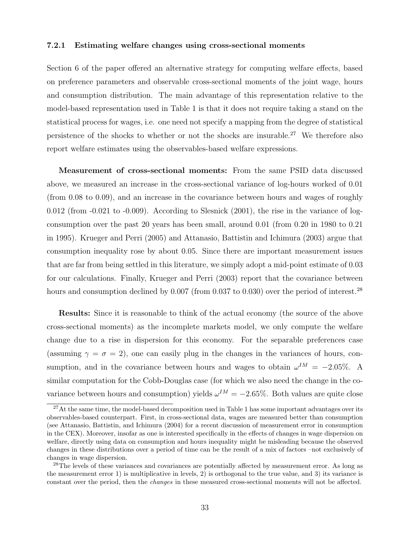#### 7.2.1 Estimating welfare changes using cross-sectional moments

Section 6 of the paper offered an alternative strategy for computing welfare effects, based on preference parameters and observable cross-sectional moments of the joint wage, hours and consumption distribution. The main advantage of this representation relative to the model-based representation used in Table 1 is that it does not require taking a stand on the statistical process for wages, i.e. one need not specify a mapping from the degree of statistical persistence of the shocks to whether or not the shocks are insurable.<sup>27</sup> We therefore also report welfare estimates using the observables-based welfare expressions.

Measurement of cross-sectional moments: From the same PSID data discussed above, we measured an increase in the cross-sectional variance of log-hours worked of 0.01 (from 0.08 to 0.09), and an increase in the covariance between hours and wages of roughly 0.012 (from -0.021 to -0.009). According to Slesnick (2001), the rise in the variance of logconsumption over the past 20 years has been small, around 0.01 (from 0.20 in 1980 to 0.21 in 1995). Krueger and Perri (2005) and Attanasio, Battistin and Ichimura (2003) argue that consumption inequality rose by about 0.05. Since there are important measurement issues that are far from being settled in this literature, we simply adopt a mid-point estimate of 0.03 for our calculations. Finally, Krueger and Perri (2003) report that the covariance between hours and consumption declined by  $0.007$  (from  $0.037$  to  $0.030$ ) over the period of interest.<sup>28</sup>

Results: Since it is reasonable to think of the actual economy (the source of the above cross-sectional moments) as the incomplete markets model, we only compute the welfare change due to a rise in dispersion for this economy. For the separable preferences case (assuming  $\gamma = \sigma = 2$ ), one can easily plug in the changes in the variances of hours, consumption, and in the covariance between hours and wages to obtain  $\omega^{IM} = -2.05\%$ . A similar computation for the Cobb-Douglas case (for which we also need the change in the covariance between hours and consumption) yields  $\omega^{IM} = -2.65\%$ . Both values are quite close

<sup>&</sup>lt;sup>27</sup>At the same time, the model-based decomposition used in Table 1 has some important advantages over its observables-based counterpart. First, in cross-sectional data, wages are measured better than consumption (see Attanasio, Battistin, and Ichimura (2004) for a recent discussion of measurement error in consumption in the CEX). Moreover, insofar as one is interested specifically in the effects of changes in wage dispersion on welfare, directly using data on consumption and hours inequality might be misleading because the observed changes in these distributions over a period of time can be the result of a mix of factors –not exclusively of changes in wage dispersion.

<sup>&</sup>lt;sup>28</sup>The levels of these variances and covariances are potentially affected by measurement error. As long as the measurement error 1) is multiplicative in levels, 2) is orthogonal to the true value, and 3) its variance is constant over the period, then the changes in these measured cross-sectional moments will not be affected.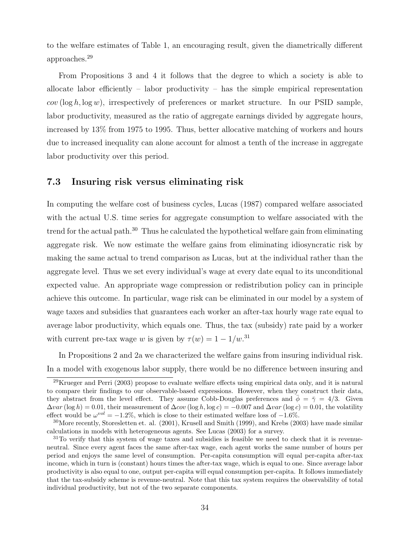to the welfare estimates of Table 1, an encouraging result, given the diametrically different approaches.<sup>29</sup>

From Propositions 3 and 4 it follows that the degree to which a society is able to allocate labor efficiently – labor productivity – has the simple empirical representation  $cov(\log h, \log w)$ , irrespectively of preferences or market structure. In our PSID sample, labor productivity, measured as the ratio of aggregate earnings divided by aggregate hours, increased by 13% from 1975 to 1995. Thus, better allocative matching of workers and hours due to increased inequality can alone account for almost a tenth of the increase in aggregate labor productivity over this period.

#### 7.3 Insuring risk versus eliminating risk

In computing the welfare cost of business cycles, Lucas (1987) compared welfare associated with the actual U.S. time series for aggregate consumption to welfare associated with the trend for the actual path.<sup>30</sup> Thus he calculated the hypothetical welfare gain from eliminating aggregate risk. We now estimate the welfare gains from eliminating idiosyncratic risk by making the same actual to trend comparison as Lucas, but at the individual rather than the aggregate level. Thus we set every individual's wage at every date equal to its unconditional expected value. An appropriate wage compression or redistribution policy can in principle achieve this outcome. In particular, wage risk can be eliminated in our model by a system of wage taxes and subsidies that guarantees each worker an after-tax hourly wage rate equal to average labor productivity, which equals one. Thus, the tax (subsidy) rate paid by a worker with current pre-tax wage w is given by  $\tau(w) = 1 - 1/w^{31}$ 

In Propositions 2 and 2a we characterized the welfare gains from insuring individual risk. In a model with exogenous labor supply, there would be no difference between insuring and

 $^{29}$ Krueger and Perri (2003) propose to evaluate welfare effects using empirical data only, and it is natural to compare their findings to our observable-based expressions. However, when they construct their data, they abstract from the level effect. They assume Cobb-Douglas preferences and  $\phi = \bar{\gamma} = 4/3$ . Given  $\Delta var(\log h) = 0.01$ , their measurement of  $\Delta cov(\log h, \log c) = -0.007$  and  $\Delta var(\log c) = 0.01$ , the volatility effect would be  $\omega^{vol} = -1.2\%$ , which is close to their estimated welfare loss of  $-1.6\%$ .

<sup>30</sup>More recently, Storesletten et. al. (2001), Krusell and Smith (1999), and Krebs (2003) have made similar calculations in models with heterogeneous agents. See Lucas (2003) for a survey.

 $31$ To verify that this system of wage taxes and subsidies is feasible we need to check that it is revenueneutral. Since every agent faces the same after-tax wage, each agent works the same number of hours per period and enjoys the same level of consumption. Per-capita consumption will equal per-capita after-tax income, which in turn is (constant) hours times the after-tax wage, which is equal to one. Since average labor productivity is also equal to one, output per-capita will equal consumption per-capita. It follows immediately that the tax-subsidy scheme is revenue-neutral. Note that this tax system requires the observability of total individual productivity, but not of the two separate components.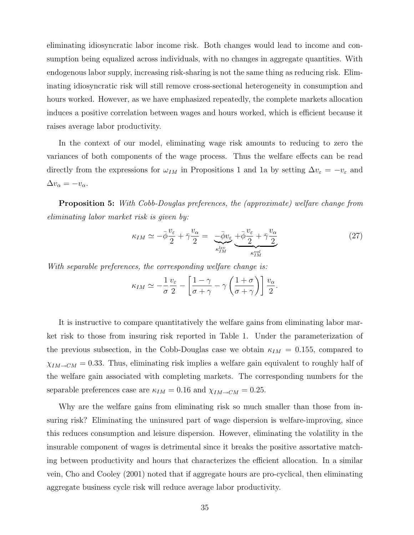eliminating idiosyncratic labor income risk. Both changes would lead to income and consumption being equalized across individuals, with no changes in aggregate quantities. With endogenous labor supply, increasing risk-sharing is not the same thing as reducing risk. Eliminating idiosyncratic risk will still remove cross-sectional heterogeneity in consumption and hours worked. However, as we have emphasized repeatedly, the complete markets allocation induces a positive correlation between wages and hours worked, which is efficient because it raises average labor productivity.

In the context of our model, eliminating wage risk amounts to reducing to zero the variances of both components of the wage process. Thus the welfare effects can be read directly from the expressions for  $\omega_{IM}$  in Propositions 1 and 1a by setting  $\Delta v_{\varepsilon} = -v_{\varepsilon}$  and  $\Delta v_{\alpha} = -v_{\alpha}.$ 

Proposition 5: With Cobb-Douglas preferences, the (approximate) welfare change from eliminating labor market risk is given by:

$$
\kappa_{IM} \simeq -\bar{\phi}\frac{v_{\varepsilon}}{2} + \bar{\gamma}\frac{v_{\alpha}}{2} = \underbrace{-\bar{\phi}v_{\varepsilon}}_{\kappa_{IM}^{lev}} + \underbrace{\bar{\phi}\frac{v_{\varepsilon}}{2} + \bar{\gamma}\frac{v_{\alpha}}{2}}_{\kappa_{IM}^{vol}}
$$
(27)

With separable preferences, the corresponding welfare change is:

$$
\kappa_{IM} \simeq -\frac{1}{\sigma} \frac{v_{\varepsilon}}{2} - \left[ \frac{1-\gamma}{\sigma + \gamma} - \gamma \left( \frac{1+\sigma}{\sigma + \gamma} \right) \right] \frac{v_{\alpha}}{2}.
$$

It is instructive to compare quantitatively the welfare gains from eliminating labor market risk to those from insuring risk reported in Table 1. Under the parameterization of the previous subsection, in the Cobb-Douglas case we obtain  $\kappa_{IM} = 0.155$ , compared to  $\chi_{IM\rightarrow CM} = 0.33$ . Thus, eliminating risk implies a welfare gain equivalent to roughly half of the welfare gain associated with completing markets. The corresponding numbers for the separable preferences case are  $\kappa_{IM} = 0.16$  and  $\chi_{IM \rightarrow CM} = 0.25$ .

Why are the welfare gains from eliminating risk so much smaller than those from insuring risk? Eliminating the uninsured part of wage dispersion is welfare-improving, since this reduces consumption and leisure dispersion. However, eliminating the volatility in the insurable component of wages is detrimental since it breaks the positive assortative matching between productivity and hours that characterizes the efficient allocation. In a similar vein, Cho and Cooley (2001) noted that if aggregate hours are pro-cyclical, then eliminating aggregate business cycle risk will reduce average labor productivity.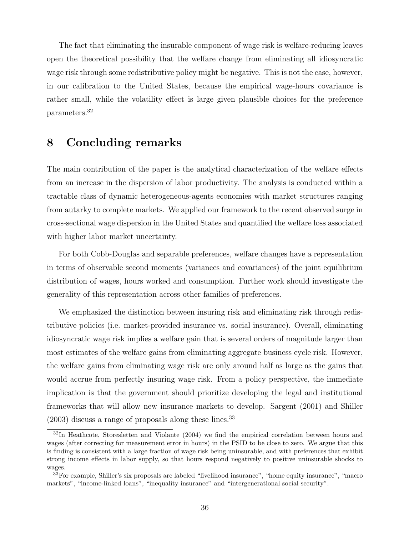The fact that eliminating the insurable component of wage risk is welfare-reducing leaves open the theoretical possibility that the welfare change from eliminating all idiosyncratic wage risk through some redistributive policy might be negative. This is not the case, however, in our calibration to the United States, because the empirical wage-hours covariance is rather small, while the volatility effect is large given plausible choices for the preference parameters.<sup>32</sup>

## 8 Concluding remarks

The main contribution of the paper is the analytical characterization of the welfare effects from an increase in the dispersion of labor productivity. The analysis is conducted within a tractable class of dynamic heterogeneous-agents economies with market structures ranging from autarky to complete markets. We applied our framework to the recent observed surge in cross-sectional wage dispersion in the United States and quantified the welfare loss associated with higher labor market uncertainty.

For both Cobb-Douglas and separable preferences, welfare changes have a representation in terms of observable second moments (variances and covariances) of the joint equilibrium distribution of wages, hours worked and consumption. Further work should investigate the generality of this representation across other families of preferences.

We emphasized the distinction between insuring risk and eliminating risk through redistributive policies (i.e. market-provided insurance vs. social insurance). Overall, eliminating idiosyncratic wage risk implies a welfare gain that is several orders of magnitude larger than most estimates of the welfare gains from eliminating aggregate business cycle risk. However, the welfare gains from eliminating wage risk are only around half as large as the gains that would accrue from perfectly insuring wage risk. From a policy perspective, the immediate implication is that the government should prioritize developing the legal and institutional frameworks that will allow new insurance markets to develop. Sargent (2001) and Shiller  $(2003)$  discuss a range of proposals along these lines.<sup>33</sup>

<sup>&</sup>lt;sup>32</sup>In Heathcote, Storesletten and Violante (2004) we find the empirical correlation between hours and wages (after correcting for measurement error in hours) in the PSID to be close to zero. We argue that this is finding is consistent with a large fraction of wage risk being uninsurable, and with preferences that exhibit strong income effects in labor supply, so that hours respond negatively to positive uninsurable shocks to wages.

<sup>&</sup>lt;sup>33</sup>For example, Shiller's six proposals are labeled "livelihood insurance", "home equity insurance", "macro markets", "income-linked loans", "inequality insurance" and "intergenerational social security".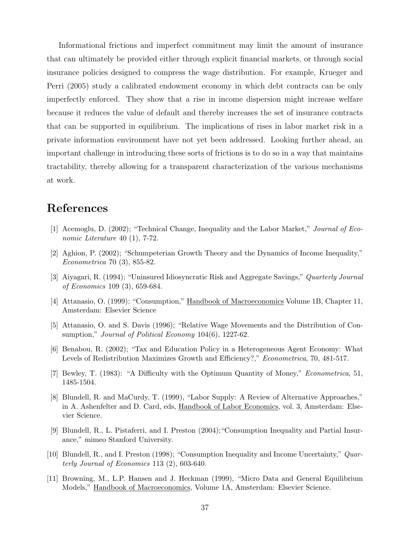Informational frictions and imperfect commitment may limit the amount of insurance that can ultimately be provided either through explicit financial markets, or through social insurance policies designed to compress the wage distribution. For example, Krueger and Perri (2005) study a calibrated endowment economy in which debt contracts can be only imperfectly enforced. They show that a rise in income dispersion might increase welfare because it reduces the value of default and thereby increases the set of insurance contracts that can be supported in equilibrium. The implications of rises in labor market risk in a private information environment have not yet been addressed. Looking further ahead, an important challenge in introducing these sorts of frictions is to do so in a way that maintains tractability, thereby allowing for a transparent characterization of the various mechanisms at work.

# References

- [1] Acemoglu, D. (2002); "Technical Change, Inequality and the Labor Market," Journal of Economic Literature 40 (1), 7-72.
- [2] Aghion, P. (2002); "Schumpeterian Growth Theory and the Dynamics of Income Inequality," Econometrica 70 (3), 855-82.
- [3] Aiyagari, R. (1994); "Uninsured Idiosyncratic Risk and Aggregate Savings," Quarterly Journal of Economics 109 (3), 659-684.
- [4] Attanasio, O. (1999); "Consumption," Handbook of Macroeconomics Volume 1B, Chapter 11, Amsterdam: Elsevier Science
- [5] Attanasio, O. and S. Davis (1996); "Relative Wage Movements and the Distribution of Consumption," *Journal of Political Economy* 104(6), 1227-62.
- [6] Benabou, R. (2002); "Tax and Education Policy in a Heterogeneous Agent Economy: What Levels of Redistribution Maximizes Growth and Efficiency?," Econometrica, 70, 481-517.
- [7] Bewley, T. (1983): "A Difficulty with the Optimum Quantity of Money," Econometrica, 51, 1485-1504.
- [8] Blundell, R. and MaCurdy, T. (1999), "Labor Supply: A Review of Alternative Approaches," in A. Ashenfelter and D. Card, eds, Handbook of Labor Economics, vol. 3, Amsterdam: Elsevier Science.
- [9] Blundell, R., L. Pistaferri, and I. Preston (2004);"Consumption Inequality and Partial Insurance," mimeo Stanford University.
- [10] Blundell, R., and I. Preston (1998); "Consumption Inequality and Income Uncertainty," Quarterly Journal of Economics 113 (2), 603-640.
- [11] Browning, M., L.P. Hansen and J. Heckman (1999), "Micro Data and General Equilibrium Models," Handbook of Macroeconomics, Volume 1A, Amsterdam: Elsevier Science.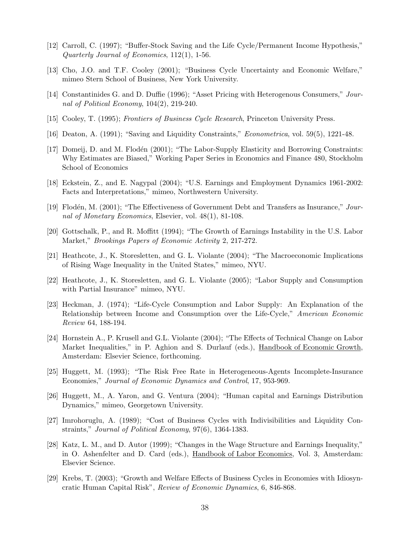- [12] Carroll, C. (1997); "Buffer-Stock Saving and the Life Cycle/Permanent Income Hypothesis," Quarterly Journal of Economics, 112(1), 1-56.
- [13] Cho, J.O. and T.F. Cooley (2001); "Business Cycle Uncertainty and Economic Welfare," mimeo Stern School of Business, New York University.
- [14] Constantinides G. and D. Duffie (1996); "Asset Pricing with Heterogenous Consumers," Journal of Political Economy, 104(2), 219-240.
- [15] Cooley, T. (1995); Frontiers of Business Cycle Research, Princeton University Press.
- [16] Deaton, A. (1991); "Saving and Liquidity Constraints," Econometrica, vol. 59(5), 1221-48.
- [17] Domeij, D. and M. Flodén (2001); "The Labor-Supply Elasticity and Borrowing Constraints: Why Estimates are Biased," Working Paper Series in Economics and Finance 480, Stockholm School of Economics
- [18] Eckstein, Z., and E. Nagypal (2004); "U.S. Earnings and Employment Dynamics 1961-2002: Facts and Interpretations," mimeo, Northwestern University.
- [19] Flodén, M. (2001); "The Effectiveness of Government Debt and Transfers as Insurance," Journal of Monetary Economics, Elsevier, vol. 48(1), 81-108.
- [20] Gottschalk, P., and R. Moffitt (1994); "The Growth of Earnings Instability in the U.S. Labor Market," Brookings Papers of Economic Activity 2, 217-272.
- [21] Heathcote, J., K. Storesletten, and G. L. Violante (2004); "The Macroeconomic Implications of Rising Wage Inequality in the United States," mimeo, NYU.
- [22] Heathcote, J., K. Storesletten, and G. L. Violante (2005); "Labor Supply and Consumption with Partial Insurance" mimeo, NYU.
- [23] Heckman, J. (1974); "Life-Cycle Consumption and Labor Supply: An Explanation of the Relationship between Income and Consumption over the Life-Cycle," American Economic Review 64, 188-194.
- [24] Hornstein A., P. Krusell and G.L. Violante (2004); "The Effects of Technical Change on Labor Market Inequalities," in P. Aghion and S. Durlauf (eds.), Handbook of Economic Growth, Amsterdam: Elsevier Science, forthcoming.
- [25] Huggett, M. (1993); "The Risk Free Rate in Heterogeneous-Agents Incomplete-Insurance Economies," Journal of Economic Dynamics and Control, 17, 953-969.
- [26] Huggett, M., A. Yaron, and G. Ventura (2004); "Human capital and Earnings Distribution Dynamics," mimeo, Georgetown University.
- [27] Imrohoruglu, A. (1989); "Cost of Business Cycles with Indivisibilities and Liquidity Constraints," Journal of Political Economy, 97(6), 1364-1383.
- [28] Katz, L. M., and D. Autor (1999); "Changes in the Wage Structure and Earnings Inequality," in O. Ashenfelter and D. Card (eds.), Handbook of Labor Economics, Vol. 3, Amsterdam: Elsevier Science.
- [29] Krebs, T. (2003); "Growth and Welfare Effects of Business Cycles in Economies with Idiosyncratic Human Capital Risk", Review of Economic Dynamics, 6, 846-868.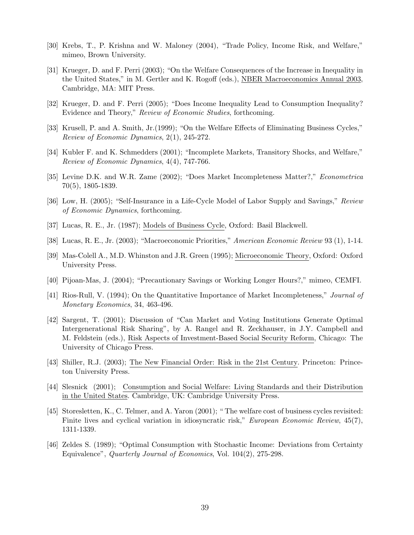- [30] Krebs, T., P. Krishna and W. Maloney (2004), "Trade Policy, Income Risk, and Welfare," mimeo, Brown University.
- [31] Krueger, D. and F. Perri (2003); "On the Welfare Consequences of the Increase in Inequality in the United States," in M. Gertler and K. Rogoff (eds.), NBER Macroeconomics Annual 2003, Cambridge, MA: MIT Press.
- [32] Krueger, D. and F. Perri (2005); "Does Income Inequality Lead to Consumption Inequality? Evidence and Theory," Review of Economic Studies, forthcoming.
- [33] Krusell, P. and A. Smith, Jr.(1999); "On the Welfare Effects of Eliminating Business Cycles," Review of Economic Dynamics, 2(1), 245-272.
- [34] Kubler F. and K. Schmedders (2001); "Incomplete Markets, Transitory Shocks, and Welfare," Review of Economic Dynamics, 4(4), 747-766.
- [35] Levine D.K. and W.R. Zame (2002); "Does Market Incompleteness Matter?," Econometrica 70(5), 1805-1839.
- [36] Low, H. (2005); "Self-Insurance in a Life-Cycle Model of Labor Supply and Savings," Review of Economic Dynamics, forthcoming.
- [37] Lucas, R. E., Jr. (1987); Models of Business Cycle, Oxford: Basil Blackwell.
- [38] Lucas, R. E., Jr. (2003); "Macroeconomic Priorities," American Economic Review 93 (1), 1-14.
- [39] Mas-Colell A., M.D. Whinston and J.R. Green (1995); Microeconomic Theory, Oxford: Oxford University Press.
- [40] Pijoan-Mas, J. (2004); "Precautionary Savings or Working Longer Hours?," mimeo, CEMFI.
- [41] Rios-Rull, V. (1994); On the Quantitative Importance of Market Incompleteness," Journal of Monetary Economics, 34, 463-496.
- [42] Sargent, T. (2001); Discussion of "Can Market and Voting Institutions Generate Optimal Intergenerational Risk Sharing", by A. Rangel and R. Zeckhauser, in J.Y. Campbell and M. Feldstein (eds.), Risk Aspects of Investment-Based Social Security Reform, Chicago: The University of Chicago Press.
- [43] Shiller, R.J. (2003); The New Financial Order: Risk in the 21st Century. Princeton: Princeton University Press.
- [44] Slesnick (2001); Consumption and Social Welfare: Living Standards and their Distribution in the United States. Cambridge, UK: Cambridge University Press.
- [45] Storesletten, K., C. Telmer, and A. Yaron (2001); " The welfare cost of business cycles revisited: Finite lives and cyclical variation in idiosyncratic risk," *European Economic Review*, 45(7), 1311-1339.
- [46] Zeldes S. (1989); "Optimal Consumption with Stochastic Income: Deviations from Certainty Equivalence", Quarterly Journal of Economics, Vol. 104(2), 275-298.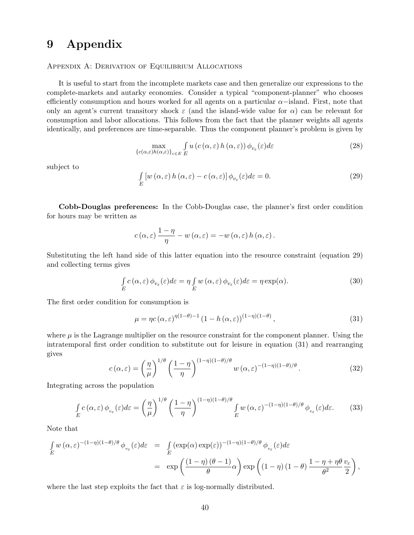# 9 Appendix

#### Appendix A: Derivation of Equilibrium Allocations

It is useful to start from the incomplete markets case and then generalize our expressions to the complete-markets and autarky economies. Consider a typical "component-planner" who chooses efficiently consumption and hours worked for all agents on a particular  $\alpha$ −island. First, note that only an agent's current transitory shock  $\varepsilon$  (and the island-wide value for  $\alpha$ ) can be relevant for consumption and labor allocations. This follows from the fact that the planner weights all agents identically, and preferences are time-separable. Thus the component planner's problem is given by

$$
\max_{\{c(\alpha,\varepsilon)h(\alpha,\varepsilon)\}_{\varepsilon\in E}} \int u\left(c(\alpha,\varepsilon)h(\alpha,\varepsilon)\right)\phi_{v_{\varepsilon}}(\varepsilon)d\varepsilon\tag{28}
$$

subject to

$$
\int_{E} \left[ w\left(\alpha, \varepsilon\right) h\left(\alpha, \varepsilon\right) - c\left(\alpha, \varepsilon\right) \right] \phi_{v_{\varepsilon}}(\varepsilon) d\varepsilon = 0. \tag{29}
$$

Cobb-Douglas preferences: In the Cobb-Douglas case, the planner's first order condition for hours may be written as

$$
c(\alpha,\varepsilon)\frac{1-\eta}{\eta}-w(\alpha,\varepsilon)=-w(\alpha,\varepsilon) h(\alpha,\varepsilon).
$$

Substituting the left hand side of this latter equation into the resource constraint (equation 29) and collecting terms gives

$$
\int_{E} c(\alpha, \varepsilon) \phi_{v_{\varepsilon}}(\varepsilon) d\varepsilon = \eta \int_{E} w(\alpha, \varepsilon) \phi_{v_{\varepsilon}}(\varepsilon) d\varepsilon = \eta \exp(\alpha).
$$
\n(30)

The first order condition for consumption is

$$
\mu = \eta c(\alpha, \varepsilon)^{\eta(1-\theta)-1} \left(1 - h(\alpha, \varepsilon)\right)^{(1-\eta)(1-\theta)},\tag{31}
$$

where  $\mu$  is the Lagrange multiplier on the resource constraint for the component planner. Using the intratemporal first order condition to substitute out for leisure in equation (31) and rearranging gives

$$
c(\alpha,\varepsilon) = \left(\frac{\eta}{\mu}\right)^{1/\theta} \left(\frac{1-\eta}{\eta}\right)^{(1-\eta)(1-\theta)/\theta} w(\alpha,\varepsilon)^{-(1-\eta)(1-\theta)/\theta}.
$$
 (32)

Integrating across the population

$$
\int_{E} c(\alpha, \varepsilon) \phi_{v_{\varepsilon}}(\varepsilon) d\varepsilon = \left(\frac{\eta}{\mu}\right)^{1/\theta} \left(\frac{1-\eta}{\eta}\right)^{(1-\eta)(1-\theta)/\theta} \int_{E} w(\alpha, \varepsilon)^{-(1-\eta)(1-\theta)/\theta} \phi_{v_{\varepsilon}}(\varepsilon) d\varepsilon.
$$
 (33)

Note that

$$
\begin{split} \int_{E} w \, (\alpha, \varepsilon)^{-(1-\eta)(1-\theta)/\theta} \, \phi_{v_{\varepsilon}}(\varepsilon) d\varepsilon &= \int_{E} \left( \exp(\alpha) \exp(\varepsilon) \right)^{-(1-\eta)(1-\theta)/\theta} \phi_{v_{\varepsilon}}(\varepsilon) d\varepsilon \\ &= \exp\left( \frac{(1-\eta)\, (\theta-1)}{\theta} \alpha \right) \exp\left( (1-\eta)\, (1-\theta) \, \frac{1-\eta+\eta \theta}{\theta^2} \frac{v_{\varepsilon}}{2} \right), \end{split}
$$

where the last step exploits the fact that  $\varepsilon$  is log-normally distributed.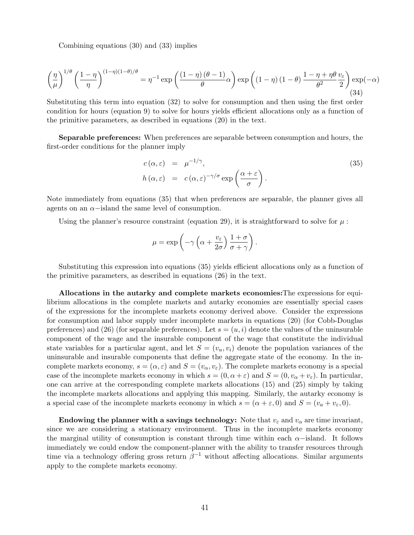Combining equations (30) and (33) implies

$$
\left(\frac{\eta}{\mu}\right)^{1/\theta} \left(\frac{1-\eta}{\eta}\right)^{(1-\eta)(1-\theta)/\theta} = \eta^{-1} \exp\left(\frac{(1-\eta)(\theta-1)}{\theta}\alpha\right) \exp\left((1-\eta)(1-\theta)\frac{1-\eta+\eta\theta}{\theta^2}\frac{v_{\varepsilon}}{2}\right) \exp(-\alpha) \tag{34}
$$

Substituting this term into equation (32) to solve for consumption and then using the first order condition for hours (equation 9) to solve for hours yields efficient allocations only as a function of the primitive parameters, as described in equations (20) in the text.

Separable preferences: When preferences are separable between consumption and hours, the first-order conditions for the planner imply

$$
c(\alpha, \varepsilon) = \mu^{-1/\gamma},
$$
  
\n
$$
h(\alpha, \varepsilon) = c(\alpha, \varepsilon)^{-\gamma/\sigma} \exp\left(\frac{\alpha + \varepsilon}{\sigma}\right).
$$
\n(35)

Note immediately from equations (35) that when preferences are separable, the planner gives all agents on an  $\alpha$ −island the same level of consumption.

Using the planner's resource constraint (equation 29), it is straightforward to solve for  $\mu$ :

$$
\mu = \exp\left(-\gamma \left(\alpha + \frac{v_{\varepsilon}}{2\sigma}\right) \frac{1+\sigma}{\sigma + \gamma}\right).
$$

Substituting this expression into equations (35) yields efficient allocations only as a function of the primitive parameters, as described in equations (26) in the text.

Allocations in the autarky and complete markets economies:The expressions for equilibrium allocations in the complete markets and autarky economies are essentially special cases of the expressions for the incomplete markets economy derived above. Consider the expressions for consumption and labor supply under incomplete markets in equations (20) (for Cobb-Douglas preferences) and (26) (for separable preferences). Let  $s = (u, i)$  denote the values of the uninsurable component of the wage and the insurable component of the wage that constitute the individual state variables for a particular agent, and let  $S = (v_u, v_i)$  denote the population variances of the uninsurable and insurable components that define the aggregate state of the economy. In the incomplete markets economy,  $s = (\alpha, \varepsilon)$  and  $S = (v_\alpha, v_\varepsilon)$ . The complete markets economy is a special case of the incomplete markets economy in which  $s = (0, \alpha + \varepsilon)$  and  $S = (0, v_{\alpha} + v_{\varepsilon})$ . In particular, one can arrive at the corresponding complete markets allocations (15) and (25) simply by taking the incomplete markets allocations and applying this mapping. Similarly, the autarky economy is a special case of the incomplete markets economy in which  $s = (\alpha + \varepsilon, 0)$  and  $S = (v_a + v_{\varepsilon}, 0)$ .

Endowing the planner with a savings technology: Note that  $v_{\varepsilon}$  and  $v_{\alpha}$  are time invariant, since we are considering a stationary environment. Thus in the incomplete markets economy the marginal utility of consumption is constant through time within each  $\alpha$ -island. It follows immediately we could endow the component-planner with the ability to transfer resources through time via a technology offering gross return  $\beta^{-1}$  without affecting allocations. Similar arguments apply to the complete markets economy.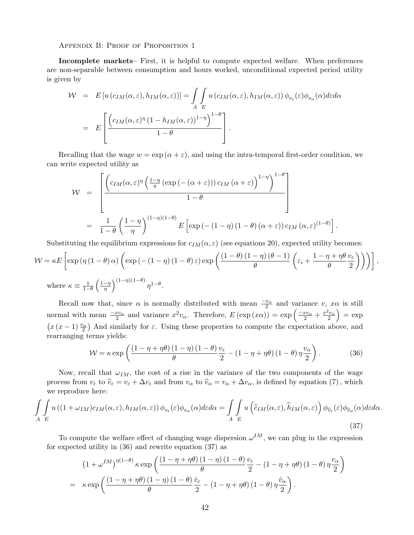Appendix B: Proof of Proposition 1

Incomplete markets– First, it is helpful to compute expected welfare. When preferences are non-separable between consumption and hours worked, unconditional expected period utility is given by

$$
\mathcal{W} = E \left[ u \left( c_{IM}(\alpha, \varepsilon), h_{IM}(\alpha, \varepsilon) \right) \right] = \int_A \int u \left( c_{IM}(\alpha, \varepsilon), h_{IM}(\alpha, \varepsilon) \right) \phi_{v_{\varepsilon}}(\varepsilon) \phi_{v_{\alpha}}(\alpha) d\varepsilon d\alpha
$$

$$
= E \left[ \frac{\left( c_{IM}(\alpha, \varepsilon)^{\eta} \left( 1 - h_{IM}(\alpha, \varepsilon) \right)^{1 - \eta} \right)^{1 - \theta}}{1 - \theta} \right].
$$

Recalling that the wage  $w = \exp(\alpha + \varepsilon)$ , and using the intra-temporal first-order condition, we can write expected utility as

$$
W = \left[ \frac{\left( c_{IM}(\alpha, \varepsilon)^{\eta} \left( \frac{1-\eta}{\eta} \left( \exp\left( -(\alpha + \varepsilon) \right) \right) c_{IM}(\alpha + \varepsilon) \right)^{1-\eta} \right)^{1-\theta}}{1-\theta} \right]
$$
  
= 
$$
\frac{1}{1-\theta} \left( \frac{1-\eta}{\eta} \right)^{(1-\eta)(1-\theta)} E \left[ \exp\left( - (1-\eta)(1-\theta)(\alpha + \varepsilon) \right) c_{IM}(\alpha, \varepsilon)^{(1-\theta)} \right]
$$

Substituting the equilibrium expressions for  $c_{IM}(\alpha, \varepsilon)$  (see equations 20), expected utility becomes:

.

,

$$
\mathcal{W} = \kappa E \left[ \exp \left( \eta \left( 1 - \theta \right) \alpha \right) \left( \exp \left( - \left( 1 - \eta \right) \left( 1 - \theta \right) \varepsilon \right) \exp \left( \frac{\left( 1 - \theta \right) \left( 1 - \eta \right) \left( \theta - 1 \right)}{\theta} \left( \varepsilon_i + \frac{1 - \eta + \eta \theta}{\theta} \frac{v_{\varepsilon}}{2} \right) \right) \right) \right]
$$
  
where 
$$
\kappa \equiv \frac{1}{1 - \theta} \left( \frac{1 - \eta}{\eta} \right)^{(1 - \eta)(1 - \theta)} \eta^{1 - \theta}.
$$

Recall now that, since  $\alpha$  is normally distributed with mean  $\frac{-v_{\alpha}}{2}$  and variance  $v, x\alpha$  is still hecan now that, since  $\alpha$  is normally distributed with mean  $\frac{-x}{2}$  and variance  $v$ ,  $x\alpha$  is sum<br>normal with mean  $\frac{-xv_{\alpha}}{2}$  and variance  $x^2v_{\alpha}$ . Therefore,  $E(\exp(x\alpha)) = \exp\left(\frac{-xv_{\alpha}}{2} + \frac{x^2v_{\alpha}}{2}\right) = \exp\left(\frac{-xv$ ¡ ¢  $x(x-1)\frac{v_{\alpha}}{2}$  And similarly for  $\varepsilon$ . Using these properties to compute the expectation above, and rearranging terms yields:  $\mathbf{r}$ 

$$
\mathcal{W} = \kappa \exp\left(\frac{\left(1 - \eta + \eta\theta\right)\left(1 - \eta\right)\left(1 - \theta\right)}{\theta}\frac{v_{\varepsilon}}{2} - \left(1 - \eta + \eta\theta\right)\left(1 - \theta\right)\eta\frac{v_{\alpha}}{2}\right). \tag{36}
$$

Now, recall that  $\omega_{IM}$ , the cost of a rise in the variance of the two components of the wage process from  $v_{\varepsilon}$  to  $\hat{v}_{\varepsilon} = v_{\varepsilon} + \Delta v_{\varepsilon}$  and from  $v_{\alpha}$  to  $\hat{v}_{\alpha} = v_{\alpha} + \Delta v_{\alpha}$ , is defined by equation (7), which we reproduce here:

$$
\int_{A} \int_{E} u\left((1+\omega_{IM})c_{IM}(\alpha,\varepsilon),h_{IM}(\alpha,\varepsilon)\right) \phi_{v_{\varepsilon}}(\varepsilon) \phi_{v_{\alpha}}(\alpha) d\varepsilon d\alpha = \int_{A} \int_{E} u\left(\widehat{c}_{IM}(\alpha,\varepsilon),\widehat{h}_{IM}(\alpha,\varepsilon)\right) \phi_{\widehat{v}_{\varepsilon}}(\varepsilon) \phi_{\widehat{v}_{\alpha}}(\alpha) d\varepsilon d\alpha.
$$
\n(37)

To compute the welfare effect of changing wage dispersion  $\omega^{IM}$ , we can plug in the expression for expected utility in (36) and rewrite equation (37) as

$$
(1 + \omega^{IM})^{\eta(1-\theta)} \kappa \exp\left(\frac{(1 - \eta + \eta\theta)(1-\eta)(1-\theta)}{\theta} \frac{v_{\varepsilon}}{2} - (1 - \eta + \eta\theta)(1-\theta)\eta\frac{v_{\alpha}}{2}\right)
$$

$$
= \kappa \exp\left(\frac{(1 - \eta + \eta\theta)(1-\eta)(1-\theta)}{\theta} \frac{\hat{v}_{\varepsilon}}{2} - (1 - \eta + \eta\theta)(1-\theta)\eta\frac{\hat{v}_{\alpha}}{2}\right).
$$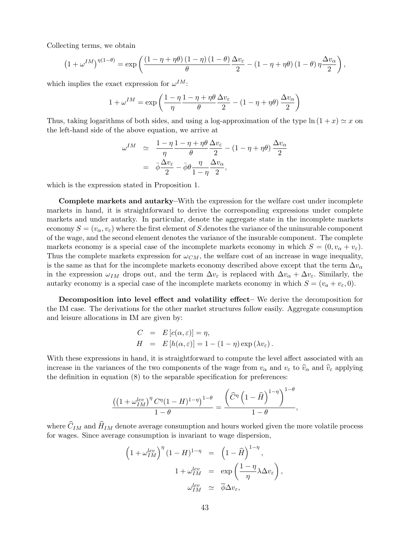Collecting terms, we obtain

$$
\left(1+\omega^{IM}\right)^{\eta(1-\theta)}=\exp\left(\frac{\left(1-\eta+\eta\theta\right)\left(1-\eta\right)\left(1-\theta\right)}{\theta}\frac{\Delta v_{\varepsilon}}{2}-\left(1-\eta+\eta\theta\right)\left(1-\theta\right)\eta\frac{\Delta v_{\alpha}}{2}\right),
$$

which implies the exact expression for  $\omega^{IM}$ :

$$
1 + \omega^{IM} = \exp\left(\frac{1 - \eta}{\eta} \frac{1 - \eta + \eta \theta}{\theta} \frac{\Delta v_{\varepsilon}}{2} - (1 - \eta + \eta \theta) \frac{\Delta v_{\alpha}}{2}\right)
$$

Thus, taking logarithms of both sides, and using a log-approximation of the type  $\ln(1 + x) \simeq x$  on the left-hand side of the above equation, we arrive at

$$
\omega^{IM} \quad \simeq \quad \frac{1 - \eta}{\eta} \frac{1 - \eta + \eta \theta}{\theta} \frac{\Delta v_{\varepsilon}}{2} - (1 - \eta + \eta \theta) \frac{\Delta v_{\alpha}}{2}
$$
\n
$$
= \quad \bar{\phi} \frac{\Delta v_{\varepsilon}}{2} - \bar{\phi} \theta \frac{\eta}{1 - \eta} \frac{\Delta v_{\alpha}}{2},
$$

which is the expression stated in Proposition 1.

Complete markets and autarky–With the expression for the welfare cost under incomplete markets in hand, it is straightforward to derive the corresponding expressions under complete markets and under autarky. In particular, denote the aggregate state in the incomplete markets economy  $S = (v_{\alpha}, v_{\epsilon})$  where the first element of S denotes the variance of the uninsurable component of the wage, and the second element denotes the variance of the insurable component. The complete markets economy is a special case of the incomplete markets economy in which  $S = (0, v_{\alpha} + v_{\varepsilon}).$ Thus the complete markets expression for  $\omega_{CM}$ , the welfare cost of an increase in wage inequality, is the same as that for the incomplete markets economy described above except that the term  $\Delta v_{\alpha}$ in the expression  $\omega_{IM}$  drops out, and the term  $\Delta v_{\varepsilon}$  is replaced with  $\Delta v_{\alpha} + \Delta v_{\varepsilon}$ . Similarly, the autarky economy is a special case of the incomplete markets economy in which  $S = (v_a + v_{\varepsilon}, 0)$ .

Decomposition into level effect and volatility effect– We derive the decomposition for the IM case. The derivations for the other market structures follow easily. Aggregate consumption and leisure allocations in IM are given by:

$$
C = E[c(\alpha, \varepsilon)] = \eta,
$$
  
\n
$$
H = E[h(\alpha, \varepsilon)] = 1 - (1 - \eta) \exp(\lambda v_{\varepsilon}).
$$

With these expressions in hand, it is straightforward to compute the level affect associated with an increase in the variances of the two components of the wage from  $v_\alpha$  and  $v_\varepsilon$  to  $\hat{v}_\alpha$  and  $\hat{v}_\varepsilon$  applying the definition in equation (8) to the separable specification for preferences:

$$
\frac{\left(\left(1+\omega_{IM}^{lev}\right)^{\eta}C^{\eta}(1-H)^{1-\eta}\right)^{1-\theta}}{1-\theta}=\frac{\left(\widehat{C}^{\eta}\left(1-\widehat{H}\right)^{1-\eta}\right)^{1-\theta}}{1-\theta},
$$

where  $\widehat C_{IM}$  and  $\widehat H_{IM}$  denote average consumption and hours worked given the more volatile process for wages. Since average consumption is invariant to wage dispersion,

$$
\begin{array}{rcl} \left(1+\omega_{IM}^{lev}\right)^{\eta}(1-H)^{1-\eta} & = & \left(1-\widehat{H}\right)^{1-\eta}, \\ & & \\ 1+\omega_{IM}^{lev} & = & \exp\left(\frac{1-\eta}{\eta}\lambda\Delta v_{\varepsilon}\right), \\ & & \\ \omega_{IM}^{lev} & \simeq & \overline{\phi}\Delta v_{\varepsilon}, \end{array}
$$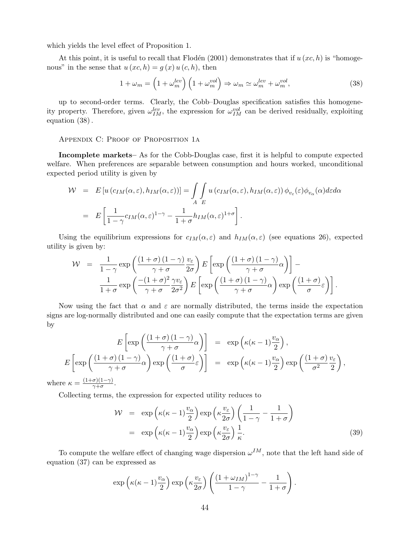which yields the level effect of Proposition 1.

At this point, it is useful to recall that Flodén (2001) demonstrates that if  $u(x, h)$  is "homogenous" in the sense that  $u (xc, h) = g (x) u (c, h)$ , then

$$
1 + \omega_m = \left(1 + \omega_m^{lev}\right) \left(1 + \omega_m^{vol}\right) \Rightarrow \omega_m \simeq \omega_m^{lev} + \omega_m^{vol},\tag{38}
$$

up to second-order terms. Clearly, the Cobb–Douglas specification satisfies this homogeneity property. Therefore, given  $\omega_{IM}^{lev}$ , the expression for  $\omega_{IM}^{vol}$  can be derived residually, exploiting equation (38).

APPENDIX C: PROOF OF PROPOSITION 1A

Incomplete markets– As for the Cobb-Douglas case, first it is helpful to compute expected welfare. When preferences are separable between consumption and hours worked, unconditional expected period utility is given by

$$
\mathcal{W} = E \left[ u \left( c_{IM}(\alpha, \varepsilon), h_{IM}(\alpha, \varepsilon) \right) \right] = \int_A \int_E u \left( c_{IM}(\alpha, \varepsilon), h_{IM}(\alpha, \varepsilon) \right) \phi_{v_{\varepsilon}}(\varepsilon) \phi_{v_{\alpha}}(\alpha) d\varepsilon d\alpha
$$

$$
= E \left[ \frac{1}{1 - \gamma} c_{IM}(\alpha, \varepsilon)^{1 - \gamma} - \frac{1}{1 + \sigma} h_{IM}(\alpha, \varepsilon)^{1 + \sigma} \right].
$$

Using the equilibrium expressions for  $c_{IM}(\alpha, \varepsilon)$  and  $h_{IM}(\alpha, \varepsilon)$  (see equations 26), expected utility is given by:

$$
\mathcal{W} = \frac{1}{1-\gamma} \exp\left(\frac{(1+\sigma)(1-\gamma)}{\gamma+\sigma} \frac{v_{\varepsilon}}{2\sigma}\right) E\left[\exp\left(\frac{(1+\sigma)(1-\gamma)}{\gamma+\sigma}\alpha\right)\right] - \frac{1}{1+\sigma} \exp\left(\frac{-(1+\sigma)^2}{\gamma+\sigma} \frac{\gamma v_{\varepsilon}}{2\sigma^2}\right) E\left[\exp\left(\frac{(1+\sigma)(1-\gamma)}{\gamma+\sigma}\alpha\right) \exp\left(\frac{(1+\sigma)}{\sigma}\varepsilon\right)\right].
$$

Now using the fact that  $\alpha$  and  $\varepsilon$  are normally distributed, the terms inside the expectation signs are log-normally distributed and one can easily compute that the expectation terms are given by

$$
E\left[\exp\left(\frac{(1+\sigma)(1-\gamma)}{\gamma+\sigma}\alpha\right)\right] = \exp\left(\kappa(\kappa-1)\frac{v_{\alpha}}{2}\right),
$$
  
\n
$$
E\left[\exp\left(\frac{(1+\sigma)(1-\gamma)}{\gamma+\sigma}\alpha\right)\exp\left(\frac{(1+\sigma)}{\sigma}\varepsilon\right)\right] = \exp\left(\kappa(\kappa-1)\frac{v_{\alpha}}{2}\right)\exp\left(\frac{(1+\sigma)}{\sigma^2}\frac{v_{\varepsilon}}{2}\right),
$$
  
\nwhere  $\kappa = \frac{(1+\sigma)(1-\gamma)}{\gamma+\sigma}.$ 

Collecting terms, the expression for expected utility reduces to

$$
\mathcal{W} = \exp\left(\kappa(\kappa - 1)\frac{v_{\alpha}}{2}\right) \exp\left(\kappa \frac{v_{\varepsilon}}{2\sigma}\right) \left(\frac{1}{1 - \gamma} - \frac{1}{1 + \sigma}\right)
$$

$$
= \exp\left(\kappa(\kappa - 1)\frac{v_{\alpha}}{2}\right) \exp\left(\kappa \frac{v_{\varepsilon}}{2\sigma}\right) \frac{1}{\kappa}.
$$
(39)

To compute the welfare effect of changing wage dispersion  $\omega^{IM}$ , note that the left hand side of equation (37) can be expressed as

$$
\exp\left(\kappa(\kappa-1)\frac{v_{\alpha}}{2}\right)\exp\left(\kappa\frac{v_{\varepsilon}}{2\sigma}\right)\left(\frac{\left(1+\omega_{IM}\right)^{1-\gamma}}{1-\gamma}-\frac{1}{1+\sigma}\right).
$$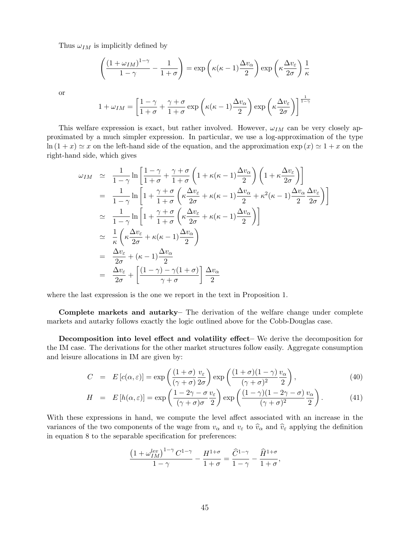Thus  $\omega_{IM}$  is implicitly defined by

$$
\left(\frac{\left(1+\omega_{IM}\right)^{1-\gamma}}{1-\gamma}-\frac{1}{1+\sigma}\right)=\exp\left(\kappa(\kappa-1)\frac{\Delta v_{\alpha}}{2}\right)\exp\left(\kappa\frac{\Delta v_{\varepsilon}}{2\sigma}\right)\frac{1}{\kappa}
$$

or

$$
1 + \omega_{IM} = \left[ \frac{1 - \gamma}{1 + \sigma} + \frac{\gamma + \sigma}{1 + \sigma} \exp\left(\kappa(\kappa - 1)\frac{\Delta v_{\alpha}}{2}\right) \exp\left(\kappa \frac{\Delta v_{\varepsilon}}{2\sigma}\right) \right]^{\frac{1}{1 - \gamma}}
$$

This welfare expression is exact, but rather involved. However,  $\omega_{IM}$  can be very closely approximated by a much simpler expression. In particular, we use a log-approximation of the type  $\ln (1 + x) \simeq x$  on the left-hand side of the equation, and the approximation  $\exp(x) \simeq 1 + x$  on the right-hand side, which gives

$$
\omega_{IM} \simeq \frac{1}{1-\gamma} \ln \left[ \frac{1-\gamma}{1+\sigma} + \frac{\gamma+\sigma}{1+\sigma} \left( 1 + \kappa(\kappa-1) \frac{\Delta v_{\alpha}}{2} \right) \left( 1 + \kappa \frac{\Delta v_{\varepsilon}}{2\sigma} \right) \right]
$$
  
\n
$$
= \frac{1}{1-\gamma} \ln \left[ 1 + \frac{\gamma+\sigma}{1+\sigma} \left( \kappa \frac{\Delta v_{\varepsilon}}{2\sigma} + \kappa(\kappa-1) \frac{\Delta v_{\alpha}}{2} + \kappa^{2}(\kappa-1) \frac{\Delta v_{\alpha}}{2} \frac{\Delta v_{\varepsilon}}{2\sigma} \right) \right]
$$
  
\n
$$
\simeq \frac{1}{1-\gamma} \ln \left[ 1 + \frac{\gamma+\sigma}{1+\sigma} \left( \kappa \frac{\Delta v_{\varepsilon}}{2\sigma} + \kappa(\kappa-1) \frac{\Delta v_{\alpha}}{2} \right) \right]
$$
  
\n
$$
\simeq \frac{1}{\kappa} \left( \kappa \frac{\Delta v_{\varepsilon}}{2\sigma} + \kappa(\kappa-1) \frac{\Delta v_{\alpha}}{2} \right)
$$
  
\n
$$
= \frac{\Delta v_{\varepsilon}}{2\sigma} + (\kappa-1) \frac{\Delta v_{\alpha}}{2}
$$
  
\n
$$
= \frac{\Delta v_{\varepsilon}}{2\sigma} + \left[ \frac{(1-\gamma)-\gamma(1+\sigma)}{\gamma+\sigma} \right] \frac{\Delta v_{\alpha}}{2}
$$

where the last expression is the one we report in the text in Proposition 1.

Complete markets and autarky– The derivation of the welfare change under complete markets and autarky follows exactly the logic outlined above for the Cobb-Douglas case.

Decomposition into level effect and volatility effect– We derive the decomposition for the IM case. The derivations for the other market structures follow easily. Aggregate consumption and leisure allocations in IM are given by:

$$
C = E[c(\alpha, \varepsilon)] = \exp\left(\frac{(1+\sigma)}{(\gamma+\sigma)}\frac{v_{\varepsilon}}{2\sigma}\right) \exp\left(\frac{(1+\sigma)(1-\gamma)}{(\gamma+\sigma)^2}\frac{v_{\alpha}}{2}\right),\tag{40}
$$

$$
H = E\left[h(\alpha,\varepsilon)\right] = \exp\left(\frac{1-2\gamma-\sigma}{(\gamma+\sigma)\sigma}\frac{v_{\varepsilon}}{2}\right)\exp\left(\frac{(1-\gamma)(1-2\gamma-\sigma)}{(\gamma+\sigma)^2}\frac{v_{\alpha}}{2}\right). \tag{41}
$$

With these expressions in hand, we compute the level affect associated with an increase in the variances of the two components of the wage from  $v_\alpha$  and  $v_\varepsilon$  to  $\hat{v}_\alpha$  and  $\hat{v}_\varepsilon$  applying the definition in equation 8 to the separable specification for preferences:

$$
\frac{\left(1+\omega_{IM}^{lev}\right)^{1-\gamma}C^{1-\gamma}}{1-\gamma}-\frac{H^{1+\sigma}}{1+\sigma}=\frac{\widehat{C}^{1-\gamma}}{1-\gamma}-\frac{\widehat{H}^{1+\sigma}}{1+\sigma},
$$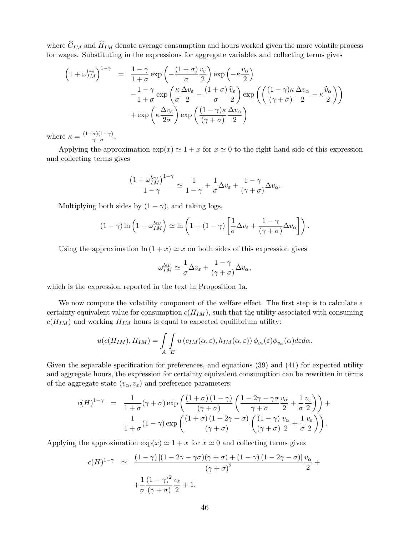where  $\widehat{C}_{IM}$  and  $\widehat{H}_{IM}$  denote average consumption and hours worked given the more volatile process for wages. Substituting in the expressions for aggregate variables and collecting terms gives

$$
\begin{array}{lcl} \left(1+\omega_{IM}^{lev}\right)^{1-\gamma} & = & \displaystyle \frac{1-\gamma}{1+\sigma} \exp\left(-\frac{(1+\sigma)}{\sigma} \frac{v_{\varepsilon}}{2}\right) \exp\left(-\kappa \frac{v_{\alpha}}{2}\right) \\ & & \displaystyle -\frac{1-\gamma}{1+\sigma} \exp\left(\frac{\kappa}{\sigma} \frac{\Delta v_{\varepsilon}}{2}-\frac{(1+\sigma)}{\sigma} \frac{\widehat{v}_{\varepsilon}}{2}\right) \exp\left(\left(\frac{(1-\gamma)\kappa}{(\gamma+\sigma)} \frac{\Delta v_{\alpha}}{2}-\kappa \frac{\widehat{v}_{\alpha}}{2}\right)\right) \\ & & \displaystyle +\exp\left(\kappa \frac{\Delta v_{\varepsilon}}{2\sigma}\right) \exp\left(\frac{(1-\gamma)\kappa}{(\gamma+\sigma)} \frac{\Delta v_{\alpha}}{2}\right) \end{array}
$$

where  $\kappa = \frac{(1+\sigma)(1-\gamma)}{\gamma+\sigma}$  $\frac{\sigma(1-\gamma)}{\gamma+\sigma}$ .

Applying the approximation  $\exp(x) \simeq 1 + x$  for  $x \simeq 0$  to the right hand side of this expression and collecting terms gives

$$
\frac{\left(1+\omega_{IM}^{lev}\right)^{1-\gamma}}{1-\gamma} \simeq \frac{1}{1-\gamma} + \frac{1}{\sigma} \Delta v_{\varepsilon} + \frac{1-\gamma}{(\gamma+\sigma)} \Delta v_{\alpha}.
$$

Multiplying both sides by  $(1 - \gamma)$ , and taking logs,

$$
(1 - \gamma) \ln \left( 1 + \omega_{IM}^{lev} \right) \simeq \ln \left( 1 + (1 - \gamma) \left[ \frac{1}{\sigma} \Delta v_{\varepsilon} + \frac{1 - \gamma}{(\gamma + \sigma)} \Delta v_{\alpha} \right] \right).
$$

Using the approximation  $\ln(1 + x) \simeq x$  on both sides of this expression gives

$$
\omega_{IM}^{lev} \simeq \frac{1}{\sigma} \Delta v_{\varepsilon} + \frac{1-\gamma}{(\gamma + \sigma)} \Delta v_{\alpha},
$$

which is the expression reported in the text in Proposition 1a.

We now compute the volatility component of the welfare effect. The first step is to calculate a certainty equivalent value for consumption  $c(H_{IM})$ , such that the utility associated with consuming  $c(H_{IM})$  and working  $H_{IM}$  hours is equal to expected equilibrium utility:

$$
u(c(H_{IM}), H_{IM}) = \int\limits_{A} \int\limits_{E} u(c_{IM}(\alpha, \varepsilon), h_{IM}(\alpha, \varepsilon)) \phi_{v_{\varepsilon}}(\varepsilon) \phi_{v_{\alpha}}(\alpha) d\varepsilon d\alpha.
$$

Given the separable specification for preferences, and equations (39) and (41) for expected utility and aggregate hours, the expression for certainty equivalent consumption can be rewritten in terms of the aggregate state  $(v_\alpha, v_\varepsilon)$  and preference parameters:

$$
c(H)^{1-\gamma} = \frac{1}{1+\sigma}(\gamma+\sigma)\exp\left(\frac{(1+\sigma)(1-\gamma)}{(\gamma+\sigma)}\left(\frac{1-2\gamma-\gamma\sigma}{\gamma+\sigma}\frac{v_{\alpha}}{2}+\frac{1}{\sigma}\frac{v_{\varepsilon}}{2}\right)\right)+\frac{1}{1+\sigma}(1-\gamma)\exp\left(\frac{(1+\sigma)(1-2\gamma-\sigma)}{(\gamma+\sigma)}\left(\frac{(1-\gamma)}{(\gamma+\sigma)}\frac{v_{\alpha}}{2}+\frac{1}{\sigma}\frac{v_{\varepsilon}}{2}\right)\right).
$$

Applying the approximation  $\exp(x) \simeq 1 + x$  for  $x \simeq 0$  and collecting terms gives

$$
c(H)^{1-\gamma} \simeq \frac{(1-\gamma)[(1-2\gamma-\gamma\sigma)(\gamma+\sigma)+(1-\gamma)(1-2\gamma-\sigma)]}{(\gamma+\sigma)^2} \frac{v_{\alpha}}{2} + \frac{1}{\sigma} \frac{(1-\gamma)^2}{(\gamma+\sigma)^2} \frac{v_{\varepsilon}}{2} + 1.
$$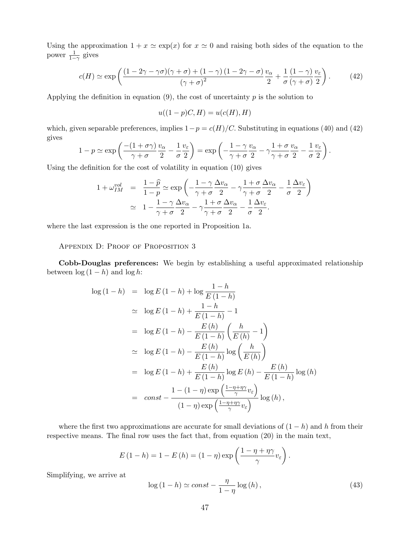Using the approximation  $1 + x \simeq \exp(x)$  for  $x \simeq 0$  and raising both sides of the equation to the power  $\frac{1}{1-\gamma}$  gives

$$
c(H) \simeq \exp\left(\frac{(1-2\gamma-\gamma\sigma)(\gamma+\sigma)+(1-\gamma)(1-2\gamma-\sigma)}{(\gamma+\sigma)^2}\frac{v_{\alpha}}{2} + \frac{1}{\sigma}\frac{(1-\gamma)}{(\gamma+\sigma)^2}\frac{v_{\varepsilon}}{2}\right).
$$
 (42)

Applying the definition in equation  $(9)$ , the cost of uncertainty p is the solution to

$$
u((1-p)C, H) = u(c(H), H)
$$

which, given separable preferences, implies  $1-p = c(H)/C$ . Substituting in equations (40) and (42) gives  $\mathbf{r}$  $\mathbf{r}$ 

$$
1 - p \simeq \exp\left(\frac{-(1+\sigma\gamma)}{\gamma + \sigma} \frac{v_{\alpha}}{2} - \frac{1}{\sigma} \frac{v_{\varepsilon}}{2}\right) = \exp\left(-\frac{1-\gamma}{\gamma + \sigma} \frac{v_{\alpha}}{2} - \gamma \frac{1+\sigma}{\gamma + \sigma} \frac{v_{\alpha}}{2} - \frac{1}{\sigma} \frac{v_{\varepsilon}}{2}\right).
$$

Using the definition for the cost of volatility in equation (10) gives

$$
1 + \omega_{IM}^{vol} = \frac{1 - \hat{p}}{1 - p} \simeq \exp\left(-\frac{1 - \gamma \Delta v_{\alpha}}{\gamma + \sigma} - \frac{1 + \sigma \Delta v_{\alpha}}{2} - \frac{1}{\sigma} \frac{\Delta v_{\varepsilon}}{2}\right)
$$
  
 
$$
\simeq 1 - \frac{1 - \gamma \Delta v_{\alpha}}{\gamma + \sigma} - \frac{1 + \sigma \Delta v_{\alpha}}{2} - \frac{1}{\sigma} \frac{\Delta v_{\varepsilon}}{2}.
$$

where the last expression is the one reported in Proposition 1a.

APPENDIX D: PROOF OF PROPOSITION 3

Cobb-Douglas preferences: We begin by establishing a useful approximated relationship between  $\log(1-h)$  and  $\log h$ :

$$
\log (1 - h) = \log E (1 - h) + \log \frac{1 - h}{E (1 - h)}
$$
  
\n
$$
\approx \log E (1 - h) + \frac{1 - h}{E (1 - h)} - 1
$$
  
\n
$$
= \log E (1 - h) - \frac{E (h)}{E (1 - h)} \left( \frac{h}{E (h)} - 1 \right)
$$
  
\n
$$
\approx \log E (1 - h) - \frac{E (h)}{E (1 - h)} \log \left( \frac{h}{E (h)} \right)
$$
  
\n
$$
= \log E (1 - h) + \frac{E (h)}{E (1 - h)} \log E (h) - \frac{E (h)}{E (1 - h)} \log (h)
$$
  
\n
$$
= \cos t - \frac{1 - (1 - \eta) \exp \left( \frac{1 - \eta + \eta \gamma}{\gamma} v_{\varepsilon} \right)}{(1 - \eta) \exp \left( \frac{1 - \eta + \eta \gamma}{\gamma} v_{\varepsilon} \right)} \log (h),
$$

where the first two approximations are accurate for small deviations of  $(1-h)$  and h from their respective means. The final row uses the fact that, from equation (20) in the main text,

$$
E(1-h) = 1 - E(h) = (1-\eta) \exp\left(\frac{1-\eta+\eta\gamma}{\gamma}v_{\varepsilon}\right).
$$

Simplifying, we arrive at

$$
\log\left(1-h\right) \simeq const - \frac{\eta}{1-\eta} \log\left(h\right),\tag{43}
$$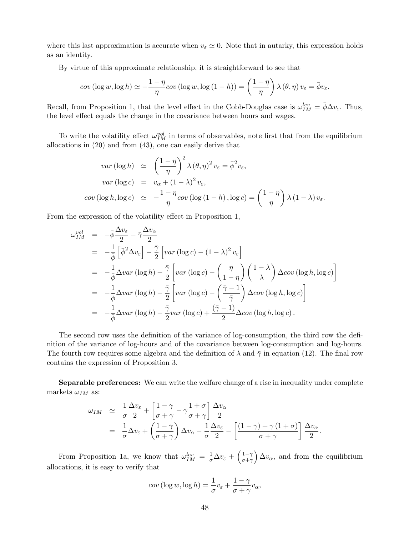where this last approximation is accurate when  $v_{\varepsilon} \simeq 0$ . Note that in autarky, this expression holds as an identity.

By virtue of this approximate relationship, it is straightforward to see that

$$
cov(\log w, \log h) \simeq -\frac{1-\eta}{\eta} cov(\log w, \log(1-h)) = \left(\frac{1-\eta}{\eta}\right) \lambda(\theta, \eta) v_{\varepsilon} = \bar{\phi} v_{\varepsilon}.
$$

Recall, from Proposition 1, that the level effect in the Cobb-Douglas case is  $\omega_{IM}^{lev} = \bar{\phi}\Delta v_{\varepsilon}$ . Thus, the level effect equals the change in the covariance between hours and wages.

To write the volatility effect  $\omega_{IM}^{vol}$  in terms of observables, note first that from the equilibrium allocations in (20) and from (43), one can easily derive that

$$
var(\log h) \simeq \left(\frac{1-\eta}{\eta}\right)^2 \lambda (\theta, \eta)^2 v_{\varepsilon} = \bar{\phi}^2 v_{\varepsilon},
$$
  

$$
var(\log c) = v_{\alpha} + (1-\lambda)^2 v_{\varepsilon},
$$
  

$$
cov(\log h, \log c) \simeq -\frac{1-\eta}{\eta} cov(\log (1-h), \log c) = \left(\frac{1-\eta}{\eta}\right) \lambda (1-\lambda) v_{\varepsilon}.
$$

From the expression of the volatility effect in Proposition 1,

$$
\omega_{IM}^{vol} = -\bar{\phi} \frac{\Delta v_{\varepsilon}}{2} - \bar{\gamma} \frac{\Delta v_{\alpha}}{2}
$$
  
\n
$$
= -\frac{1}{\bar{\phi}} \left[ \bar{\phi}^{2} \Delta v_{\varepsilon} \right] - \frac{\bar{\gamma}}{2} \left[ var (\log c) - (1 - \lambda)^{2} v_{\varepsilon} \right]
$$
  
\n
$$
= -\frac{1}{\bar{\phi}} \Delta var (\log h) - \frac{\bar{\gamma}}{2} \left[ var (\log c) - \left( \frac{\eta}{1 - \eta} \right) \left( \frac{1 - \lambda}{\lambda} \right) \Delta cov (\log h, \log c) \right]
$$
  
\n
$$
= -\frac{1}{\bar{\phi}} \Delta var (\log h) - \frac{\bar{\gamma}}{2} \left[ var (\log c) - \left( \frac{\bar{\gamma} - 1}{\bar{\gamma}} \right) \Delta cov (\log h, \log c) \right]
$$
  
\n
$$
= -\frac{1}{\bar{\phi}} \Delta var (\log h) - \frac{\bar{\gamma}}{2} var (\log c) + \frac{(\bar{\gamma} - 1)}{2} \Delta cov (\log h, \log c).
$$

The second row uses the definition of the variance of log-consumption, the third row the definition of the variance of log-hours and of the covariance between log-consumption and log-hours. The fourth row requires some algebra and the definition of  $\lambda$  and  $\bar{\gamma}$  in equation (12). The final row contains the expression of Proposition 3.

Separable preferences: We can write the welfare change of a rise in inequality under complete markets  $\omega_{IM}$  as:

$$
\omega_{IM} \simeq \frac{1}{\sigma} \frac{\Delta v_{\varepsilon}}{2} + \left[ \frac{1 - \gamma}{\sigma + \gamma} - \gamma \frac{1 + \sigma}{\sigma + \gamma} \right] \frac{\Delta v_{\alpha}}{2}
$$
  
=  $\frac{1}{\sigma} \Delta v_{\varepsilon} + \left( \frac{1 - \gamma}{\sigma + \gamma} \right) \Delta v_{\alpha} - \frac{1}{\sigma} \frac{\Delta v_{\varepsilon}}{2} - \left[ \frac{(1 - \gamma) + \gamma (1 + \sigma)}{\sigma + \gamma} \right] \frac{\Delta v_{\alpha}}{2}.$ 

From Proposition 1a, we know that  $\omega_{IM}^{lev} = \frac{1}{\sigma} \Delta v_{\varepsilon} +$  $\sqrt{1-\gamma}$  $\overline{\sigma+\gamma}$ ´  $\Delta v_{\alpha}$ , and from the equilibrium allocations, it is easy to verify that

$$
cov(\log w, \log h) = \frac{1}{\sigma}v_{\varepsilon} + \frac{1-\gamma}{\sigma + \gamma}v_{\alpha},
$$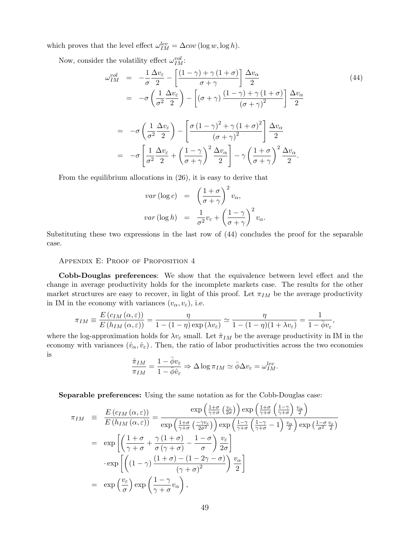which proves that the level effect  $\omega_{IM}^{lev} = \Delta cov \left(\log w, \log h\right)$ .

Now, consider the volatility effect  $\omega_{IM}^{vol}$ :

$$
\omega_{IM}^{vol} = -\frac{1}{\sigma} \frac{\Delta v_{\varepsilon}}{2} - \left[ \frac{(1-\gamma) + \gamma (1+\sigma)}{\sigma + \gamma} \right] \frac{\Delta v_{\alpha}}{2}
$$
\n
$$
= -\sigma \left( \frac{1}{\sigma^2} \frac{\Delta v_{\varepsilon}}{2} \right) - \left[ (\sigma + \gamma) \frac{(1-\gamma) + \gamma (1+\sigma)}{(\sigma + \gamma)^2} \right] \frac{\Delta v_{\alpha}}{2}
$$
\n
$$
= -\sigma \left( \frac{1}{\sigma^2} \frac{\Delta v_{\varepsilon}}{2} \right) - \left[ \frac{\sigma (1-\gamma)^2 + \gamma (1+\sigma)^2}{(\sigma + \gamma)^2} \right] \frac{\Delta v_{\alpha}}{2}
$$
\n
$$
= -\sigma \left[ \frac{1}{\sigma^2} \frac{\Delta v_{\varepsilon}}{2} + \left( \frac{1-\gamma}{\sigma + \gamma} \right)^2 \frac{\Delta v_{\alpha}}{2} \right] - \gamma \left( \frac{1+\sigma}{\sigma + \gamma} \right)^2 \frac{\Delta v_{\alpha}}{2}.
$$
\n(44)

From the equilibrium allocations in (26), it is easy to derive that

$$
var(\log c) = \left(\frac{1+\sigma}{\sigma+\gamma}\right)^2 v_{\alpha},
$$
  

$$
var(\log h) = \frac{1}{\sigma^2} v_{\varepsilon} + \left(\frac{1-\gamma}{\sigma+\gamma}\right)^2 v_{\alpha}.
$$

Substituting these two expressions in the last row of (44) concludes the proof for the separable case.

Appendix E: Proof of Proposition 4

Cobb-Douglas preferences: We show that the equivalence between level effect and the change in average productivity holds for the incomplete markets case. The results for the other market structures are easy to recover, in light of this proof. Let  $\pi_{IM}$  be the average productivity in IM in the economy with variances  $(v_\alpha, v_\varepsilon)$ , i.e.

$$
\pi_{IM} \equiv \frac{E(c_{IM}(\alpha,\varepsilon))}{E(h_{IM}(\alpha,\varepsilon))} = \frac{\eta}{1 - (1 - \eta) \exp(\lambda v_{\varepsilon})} \simeq \frac{\eta}{1 - (1 - \eta)(1 + \lambda v_{\varepsilon})} = \frac{1}{1 - \overline{\phi}v_{\varepsilon}},
$$

where the log-approximation holds for  $\lambda v_{\varepsilon}$  small. Let  $\hat{\pi}_{IM}$  be the average productivity in IM in the economy with variances  $(\hat{v}_\alpha, \hat{v}_\varepsilon)$ . Then, the ratio of labor productivities across the two economies is

$$
\frac{\hat{\pi}_{IM}}{\pi_{IM}} = \frac{1 - \bar{\phi}v_{\varepsilon}}{1 - \bar{\phi}\hat{v}_{\varepsilon}} \Rightarrow \Delta \log \pi_{IM} \simeq \bar{\phi}\Delta v_{\varepsilon} = \omega_{IM}^{lev}.
$$

Separable preferences: Using the same notation as for the Cobb-Douglas case:  $\sim$   $\sim$   $\sim$   $\sim$   $\sim$ 

$$
\pi_{IM} = \frac{E(c_{IM}(\alpha,\varepsilon))}{E(h_{IM}(\alpha,\varepsilon))} = \frac{\exp\left(\frac{1+\sigma}{\gamma+\sigma}\left(\frac{v_{\varepsilon}}{2\sigma}\right)\right)\exp\left(\frac{1+\sigma}{\gamma+\sigma}\left(\frac{1-\gamma}{\gamma+\sigma}\right)\frac{v_{\alpha}}{2}\right)}{\exp\left(\frac{1+\sigma}{\gamma+\sigma}\left(\frac{-\gamma v_{\varepsilon}}{2\sigma^2}\right)\right)\exp\left(\frac{1-\gamma}{\gamma+\sigma}\left(\frac{1-\gamma}{\gamma+\sigma}-1\right)\frac{v_{\alpha}}{2}\right)\exp\left(\frac{1-\sigma}{\sigma^2}\frac{v_{\varepsilon}}{2}\right)}
$$

$$
= \exp\left[\left(\frac{1+\sigma}{\gamma+\sigma} + \frac{\gamma(1+\sigma)}{\sigma(\gamma+\sigma)} - \frac{1-\sigma}{\sigma}\right)\frac{v_{\varepsilon}}{2\sigma}\right]
$$

$$
\cdot \exp\left[\left((1-\gamma)\frac{(1+\sigma)-(1-2\gamma-\sigma)}{(\gamma+\sigma)^2}\right)\frac{v_{\alpha}}{2}\right]
$$

$$
= \exp\left(\frac{v_{\varepsilon}}{\sigma}\right)\exp\left(\frac{1-\gamma}{\gamma+\sigma}v_{\alpha}\right),
$$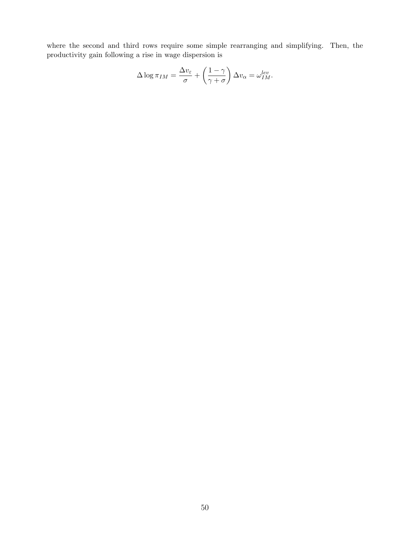where the second and third rows require some simple rearranging and simplifying. Then, the productivity gain following a rise in wage dispersion is

$$
\Delta \log \pi_{IM} = \frac{\Delta v_{\varepsilon}}{\sigma} + \left(\frac{1-\gamma}{\gamma + \sigma}\right) \Delta v_{\alpha} = \omega_{IM}^{lev}.
$$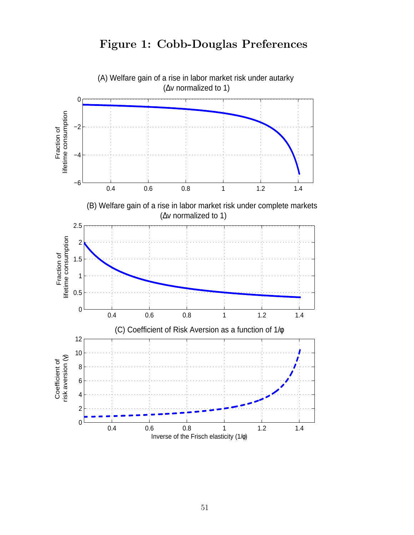

# Figure 1: Cobb-Douglas Preferences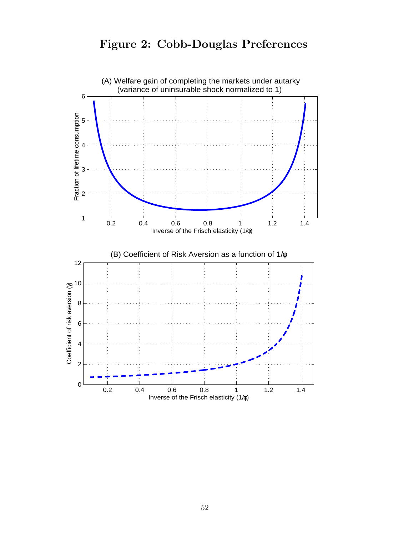# Figure 2: Cobb-Douglas Preferences

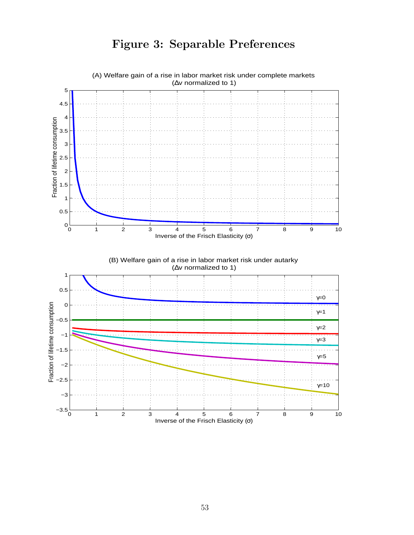

# Figure 3: Separable Preferences